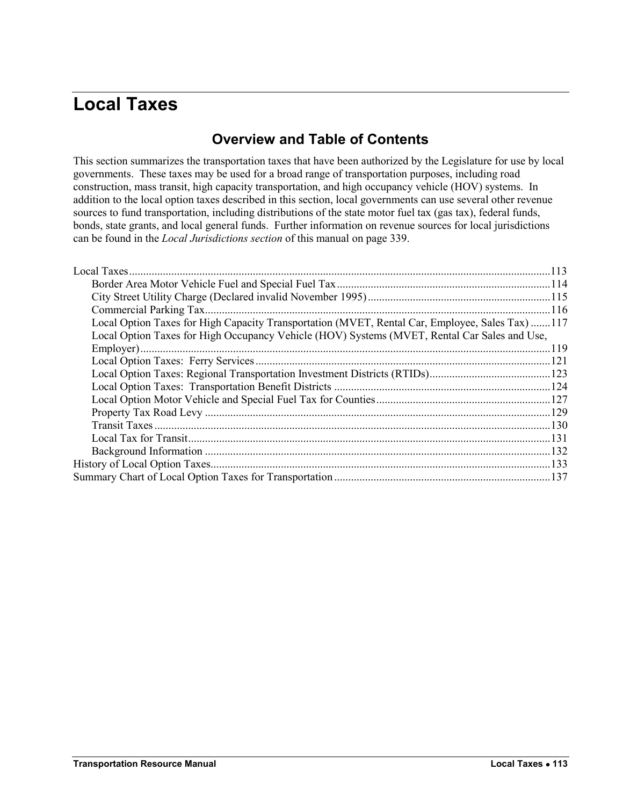# <span id="page-0-0"></span>**Local Taxes**

# **Overview and Table of Contents**

This section summarizes the transportation taxes that have been authorized by the Legislature for use by local governments. These taxes may be used for a broad range of transportation purposes, including road construction, mass transit, high capacity transportation, and high occupancy vehicle (HOV) systems. In addition to the local option taxes described in this section, local governments can use several other revenue sources to fund transportation, including distributions of the state motor fuel tax (gas tax), federal funds, bonds, state grants, and local general funds. Further information on revenue sources for local jurisdictions can be found in the *Local Jurisdictions section* of this manual on page 339.

| Local Option Taxes for High Capacity Transportation (MVET, Rental Car, Employee, Sales Tax) 117 |  |
|-------------------------------------------------------------------------------------------------|--|
| Local Option Taxes for High Occupancy Vehicle (HOV) Systems (MVET, Rental Car Sales and Use,    |  |
|                                                                                                 |  |
|                                                                                                 |  |
|                                                                                                 |  |
|                                                                                                 |  |
|                                                                                                 |  |
|                                                                                                 |  |
|                                                                                                 |  |
|                                                                                                 |  |
|                                                                                                 |  |
|                                                                                                 |  |
|                                                                                                 |  |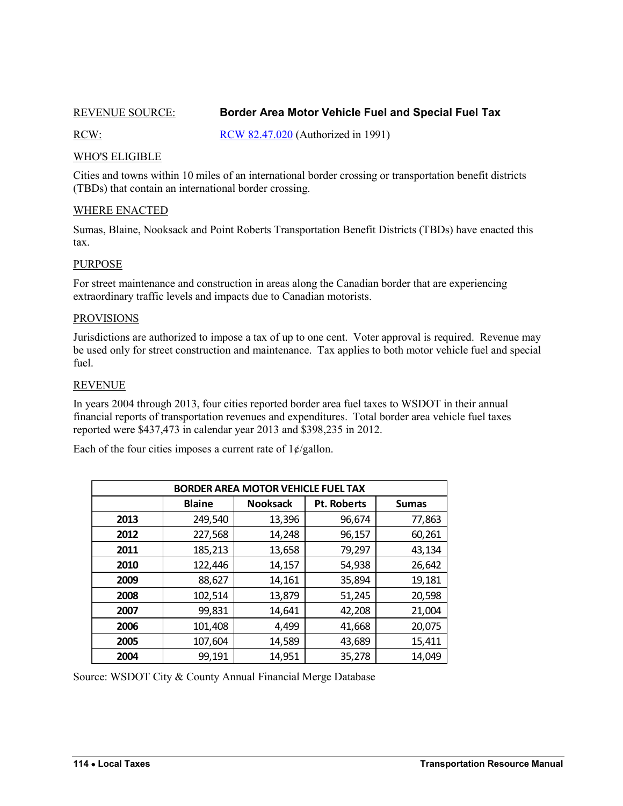# <span id="page-1-1"></span><span id="page-1-0"></span>REVENUE SOURCE: **Border Area Motor Vehicle Fuel and Special Fuel Tax**

RCW: [RCW 82.47.020](http://apps.leg.wa.gov/rcw/default.aspx?cite=82.47.020) (Authorized in 1991)

# WHO'S ELIGIBLE

Cities and towns within 10 miles of an international border crossing or transportation benefit districts (TBDs) that contain an international border crossing.

# WHERE ENACTED

Sumas, Blaine, Nooksack and Point Roberts Transportation Benefit Districts (TBDs) have enacted this tax.

# PURPOSE

For street maintenance and construction in areas along the Canadian border that are experiencing extraordinary traffic levels and impacts due to Canadian motorists.

### PROVISIONS

Jurisdictions are authorized to impose a tax of up to one cent. Voter approval is required. Revenue may be used only for street construction and maintenance. Tax applies to both motor vehicle fuel and special fuel.

### REVENUE

In years 2004 through 2013, four cities reported border area fuel taxes to WSDOT in their annual financial reports of transportation revenues and expenditures. Total border area vehicle fuel taxes reported were \$437,473 in calendar year 2013 and \$398,235 in 2012.

Each of the four cities imposes a current rate of  $1 \frac{\ell}{g}$ allon.

| <b>BORDER AREA MOTOR VEHICLE FUEL TAX</b> |               |                 |                    |              |  |
|-------------------------------------------|---------------|-----------------|--------------------|--------------|--|
|                                           | <b>Blaine</b> | <b>Nooksack</b> | <b>Pt. Roberts</b> | <b>Sumas</b> |  |
| 2013                                      | 249,540       | 13,396          | 96,674             | 77,863       |  |
| 2012                                      | 227,568       | 14,248          | 96,157             | 60,261       |  |
| 2011                                      | 185,213       | 13,658          | 79,297             | 43,134       |  |
| 2010                                      | 122,446       | 14,157          | 54,938             | 26,642       |  |
| 2009                                      | 88,627        | 14,161          | 35,894             | 19,181       |  |
| 2008                                      | 102,514       | 13,879          | 51,245             | 20,598       |  |
| 2007                                      | 99,831        | 14,641          | 42,208             | 21,004       |  |
| 2006                                      | 101,408       | 4,499           | 41,668             | 20,075       |  |
| 2005                                      | 107,604       | 14,589          | 43,689             | 15,411       |  |
| 2004                                      | 99,191        | 14,951          | 35,278             | 14,049       |  |

<span id="page-1-2"></span>Source: WSDOT City & County Annual Financial Merge Database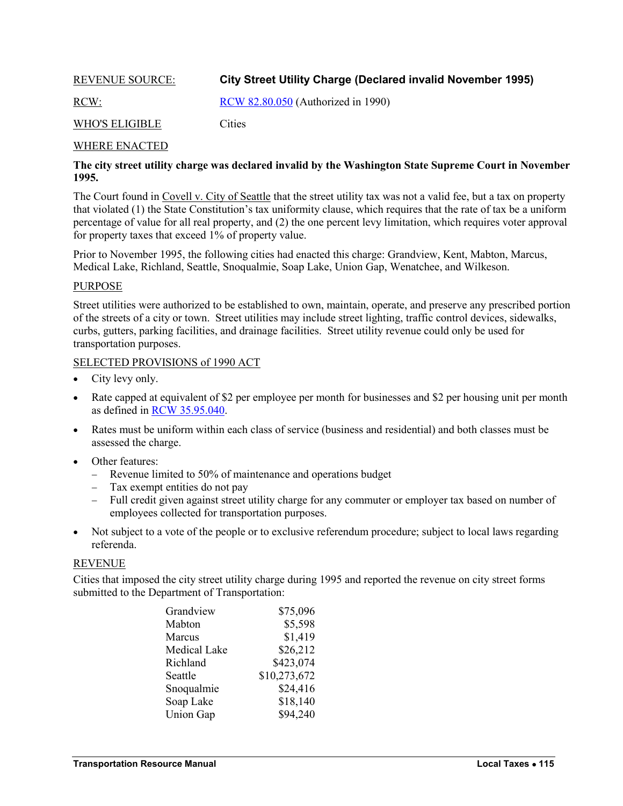# <span id="page-2-1"></span><span id="page-2-0"></span>REVENUE SOURCE: **City Street Utility Charge (Declared invalid November 1995)**

RCW: [RCW 82.80.050](http://apps.leg.wa.gov/rcw/default.aspx?cite=82.80.050) (Authorized in 1990)

# WHO'S ELIGIBLE Cities

### WHERE ENACTED

# **The city street utility charge was declared invalid by the Washington State Supreme Court in November 1995.**

The Court found in Covell v. City of Seattle that the street utility tax was not a valid fee, but a tax on property that violated (1) the State Constitution's tax uniformity clause, which requires that the rate of tax be a uniform percentage of value for all real property, and (2) the one percent levy limitation, which requires voter approval for property taxes that exceed 1% of property value.

Prior to November 1995, the following cities had enacted this charge: Grandview, Kent, Mabton, Marcus, Medical Lake, Richland, Seattle, Snoqualmie, Soap Lake, Union Gap, Wenatchee, and Wilkeson.

### PURPOSE

Street utilities were authorized to be established to own, maintain, operate, and preserve any prescribed portion of the streets of a city or town. Street utilities may include street lighting, traffic control devices, sidewalks, curbs, gutters, parking facilities, and drainage facilities. Street utility revenue could only be used for transportation purposes.

### SELECTED PROVISIONS of 1990 ACT

- City levy only.
- Rate capped at equivalent of \$2 per employee per month for businesses and \$2 per housing unit per month as defined in [RCW 35.95.040.](http://apps.leg.wa.gov/rcw/default.aspx?cite=35.95.040)
- Rates must be uniform within each class of service (business and residential) and both classes must be assessed the charge.
- Other features:
	- Revenue limited to 50% of maintenance and operations budget
	- Tax exempt entities do not pay
	- Full credit given against street utility charge for any commuter or employer tax based on number of employees collected for transportation purposes.
- Not subject to a vote of the people or to exclusive referendum procedure; subject to local laws regarding referenda.

# REVENUE

Cities that imposed the city street utility charge during 1995 and reported the revenue on city street forms submitted to the Department of Transportation:

| Grandview           | \$75,096     |
|---------------------|--------------|
| Mabton              | \$5,598      |
| Marcus              | \$1,419      |
| <b>Medical Lake</b> | \$26,212     |
| Richland            | \$423,074    |
| Seattle             | \$10,273,672 |
| Snoqualmie          | \$24,416     |
| Soap Lake           | \$18,140     |
| <b>Union Gap</b>    | \$94,240     |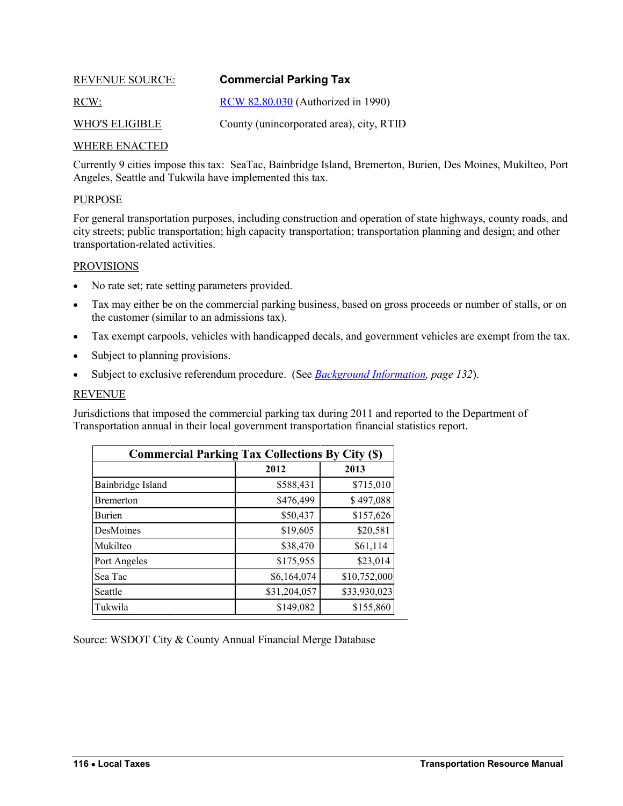<span id="page-3-1"></span><span id="page-3-0"></span>

| <b>REVENUE SOURCE:</b> | <b>Commercial Parking Tax</b>            |
|------------------------|------------------------------------------|
| RCW:                   | RCW 82.80.030 (Authorized in 1990)       |
| <b>WHO'S ELIGIBLE</b>  | County (unincorporated area), city, RTID |

# WHERE ENACTED

Currently 9 cities impose this tax: SeaTac, Bainbridge Island, Bremerton, Burien, Des Moines, Mukilteo, Port Angeles, Seattle and Tukwila have implemented this tax.

### PURPOSE

For general transportation purposes, including construction and operation of state highways, county roads, and city streets; public transportation; high capacity transportation; transportation planning and design; and other transportation-related activities.

#### PROVISIONS

- No rate set; rate setting parameters provided.
- Tax may either be on the commercial parking business, based on gross proceeds or number of stalls, or on the customer (similar to an admissions tax).
- Tax exempt carpools, vehicles with handicapped decals, and government vehicles are exempt from the tax.
- Subject to planning provisions.
- Subject to exclusive referendum procedure. (See *[Background Information,](#page-19-0) page 132*).

# REVENUE

Jurisdictions that imposed the commercial parking tax during 2011 and reported to the Department of Transportation annual in their local government transportation financial statistics report.

| <b>Commercial Parking Tax Collections By City (\$)</b> |              |              |  |  |
|--------------------------------------------------------|--------------|--------------|--|--|
|                                                        | 2012         | 2013         |  |  |
| Bainbridge Island                                      | \$588,431    | \$715,010    |  |  |
| <b>Bremerton</b>                                       | \$476,499    | \$497,088    |  |  |
| Burien                                                 | \$50,437     | \$157,626    |  |  |
| DesMoines                                              | \$19,605     | \$20,581     |  |  |
| Mukilteo                                               | \$38,470     | \$61,114     |  |  |
| Port Angeles                                           | \$175,955    | \$23,014     |  |  |
| Sea Tac                                                | \$6,164,074  | \$10,752,000 |  |  |
| Seattle                                                | \$31,204,057 | \$33,930,023 |  |  |
| Tukwila                                                | \$149,082    | \$155,860    |  |  |

Source: WSDOT City & County Annual Financial Merge Database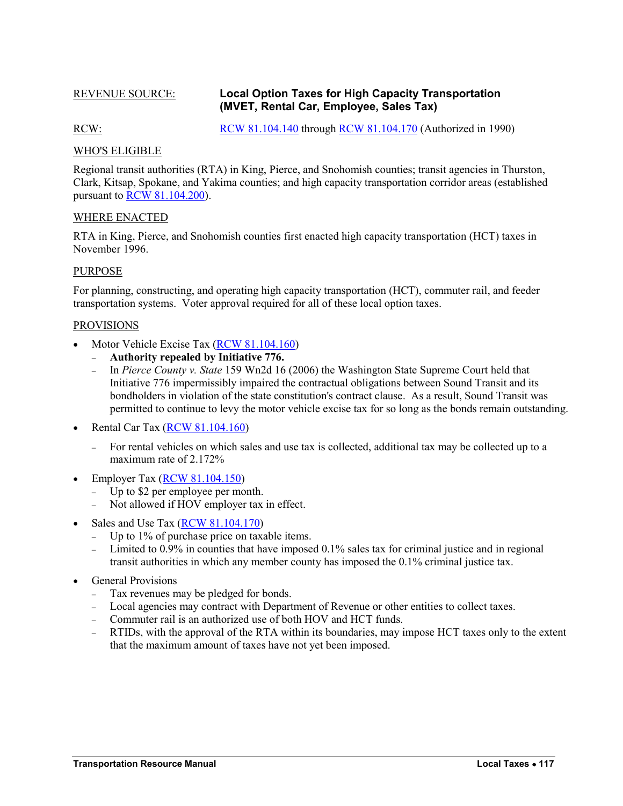# <span id="page-4-1"></span><span id="page-4-0"></span>REVENUE SOURCE: **Local Option Taxes for High Capacity Transportation (MVET, Rental Car, Employee, Sales Tax)**

RCW: [RCW 81.104.140](http://apps.leg.wa.gov/rcw/default.aspx?cite=81.104.140) through [RCW 81.104.170](http://apps.leg.wa.gov/rcw/default.aspx?cite=81.104.170) (Authorized in 1990)

### WHO'S ELIGIBLE

Regional transit authorities (RTA) in King, Pierce, and Snohomish counties; transit agencies in Thurston, Clark, Kitsap, Spokane, and Yakima counties; and high capacity transportation corridor areas (established pursuant to [RCW 81.104.200\)](http://apps.leg.wa.gov/rcw/default.aspx?cite=81.104.200).

### WHERE ENACTED

RTA in King, Pierce, and Snohomish counties first enacted high capacity transportation (HCT) taxes in November 1996.

### PURPOSE

For planning, constructing, and operating high capacity transportation (HCT), commuter rail, and feeder transportation systems. Voter approval required for all of these local option taxes.

### PROVISIONS

- Motor Vehicle Excise Tax [\(RCW 81.104.160\)](http://apps.leg.wa.gov/rcw/default.aspx?cite=81.104.160)
	- **Authority repealed by Initiative 776.**
	- In *Pierce County v. State* 159 Wn2d 16 (2006) the Washington State Supreme Court held that Initiative 776 impermissibly impaired the contractual obligations between Sound Transit and its bondholders in violation of the state constitution's contract clause. As a result, Sound Transit was permitted to continue to levy the motor vehicle excise tax for so long as the bonds remain outstanding.
- Rental Car Tax [\(RCW 81.104.160\)](http://apps.leg.wa.gov/rcw/default.aspx?cite=81.104.160)
	- For rental vehicles on which sales and use tax is collected, additional tax may be collected up to a maximum rate of 2.172%
- Employer Tax [\(RCW 81.104.150\)](http://apps.leg.wa.gov/rcw/default.aspx?cite=81.104.150)
	- Up to \$2 per employee per month.
	- Not allowed if HOV employer tax in effect.
- Sales and Use Tax [\(RCW 81.104.170\)](http://apps.leg.wa.gov/rcw/default.aspx?cite=81.104.170)
	- Up to  $1\%$  of purchase price on taxable items.
	- Limited to 0.9% in counties that have imposed 0.1% sales tax for criminal justice and in regional transit authorities in which any member county has imposed the 0.1% criminal justice tax.
- <span id="page-4-2"></span> General Provisions
	- Tax revenues may be pledged for bonds.
	- Local agencies may contract with Department of Revenue or other entities to collect taxes.
	- Commuter rail is an authorized use of both HOV and HCT funds.
	- RTIDs, with the approval of the RTA within its boundaries, may impose HCT taxes only to the extent that the maximum amount of taxes have not yet been imposed.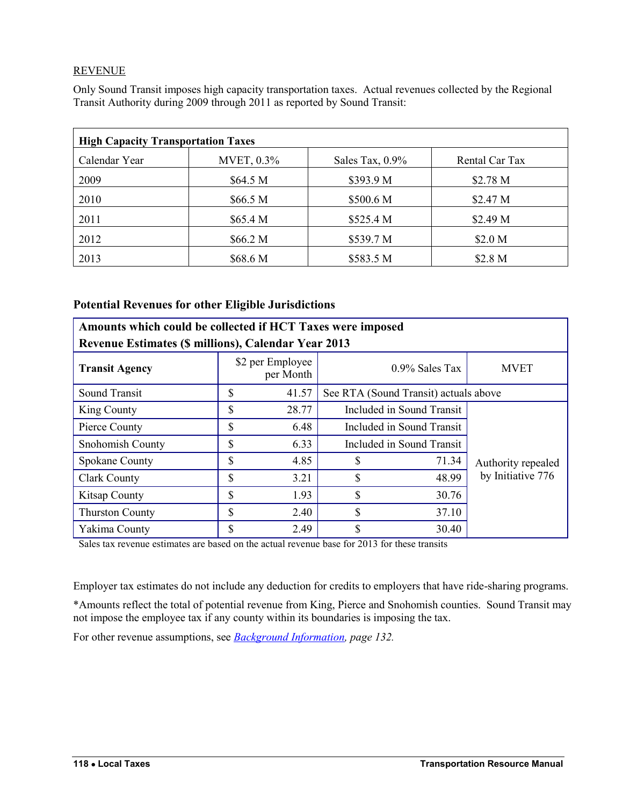# **REVENUE**

Only Sound Transit imposes high capacity transportation taxes. Actual revenues collected by the Regional Transit Authority during 2009 through 2011 as reported by Sound Transit:

| <b>High Capacity Transportation Taxes</b> |            |                    |                    |  |  |
|-------------------------------------------|------------|--------------------|--------------------|--|--|
| Calendar Year                             | MVET, 0.3% | Sales Tax, $0.9\%$ | Rental Car Tax     |  |  |
| 2009                                      | \$64.5 M   | \$393.9 M          | \$2.78 M           |  |  |
| 2010                                      | \$66.5 M   | \$500.6 M          | \$2.47 M           |  |  |
| 2011                                      | \$65.4 M   | \$525.4 M          | \$2.49 M           |  |  |
| 2012                                      | \$66.2 M   | \$539.7 M          | \$2.0 <sub>M</sub> |  |  |
| 2013                                      | \$68.6 M   | \$583.5 M          | \$2.8 <sub>M</sub> |  |  |

# **Potential Revenues for other Eligible Jurisdictions**

| Amounts which could be collected if HCT Taxes were imposed |    |                               |                                  |                                       |                    |  |
|------------------------------------------------------------|----|-------------------------------|----------------------------------|---------------------------------------|--------------------|--|
| <b>Revenue Estimates (\$ millions), Calendar Year 2013</b> |    |                               |                                  |                                       |                    |  |
| <b>Transit Agency</b>                                      |    | \$2 per Employee<br>per Month | $0.9\%$ Sales Tax<br><b>MVET</b> |                                       |                    |  |
| Sound Transit                                              | \$ | 41.57                         |                                  | See RTA (Sound Transit) actuals above |                    |  |
| King County                                                | \$ | 28.77                         |                                  | Included in Sound Transit             |                    |  |
| Pierce County                                              | \$ | 6.48                          |                                  | Included in Sound Transit             |                    |  |
| Snohomish County                                           | \$ | 6.33                          | Included in Sound Transit        |                                       |                    |  |
| <b>Spokane County</b>                                      | \$ | 4.85                          | 71.34                            |                                       | Authority repealed |  |
| <b>Clark County</b>                                        | \$ | 3.21                          | \$                               | 48.99                                 | by Initiative 776  |  |
| <b>Kitsap County</b>                                       | \$ | 1.93                          | \$                               | 30.76                                 |                    |  |
| <b>Thurston County</b>                                     | \$ | 2.40                          | \$                               | 37.10                                 |                    |  |
| Yakima County                                              | \$ | 2.49                          | \$                               | 30.40                                 |                    |  |

Sales tax revenue estimates are based on the actual revenue base for 2013 for these transits

Employer tax estimates do not include any deduction for credits to employers that have ride-sharing programs.

\*Amounts reflect the total of potential revenue from King, Pierce and Snohomish counties. Sound Transit may not impose the employee tax if any county within its boundaries is imposing the tax.

For other revenue assumptions, see *[Background Information,](#page-19-0) page 132.*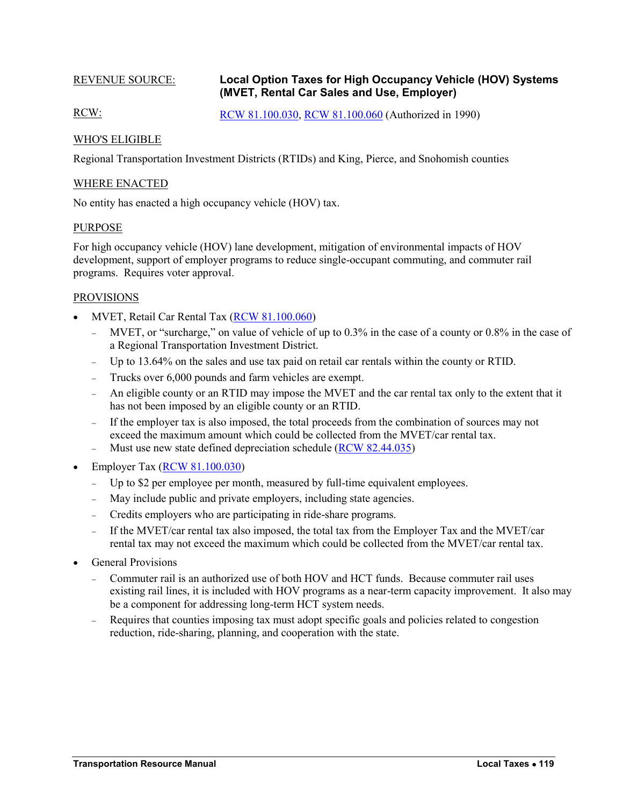# <span id="page-6-1"></span><span id="page-6-0"></span>REVENUE SOURCE: **Local Option Taxes for High Occupancy Vehicle (HOV) Systems (MVET, Rental Car Sales and Use, Employer)**

RCW: [RCW 81.100.030,](http://apps.leg.wa.gov/rcw/default.aspx?cite=81.100.030) [RCW 81.100.060](http://apps.leg.wa.gov/rcw/default.aspx?cite=81.100.060) (Authorized in 1990)

# WHO'S ELIGIBLE

Regional Transportation Investment Districts (RTIDs) and King, Pierce, and Snohomish counties

# WHERE ENACTED

No entity has enacted a high occupancy vehicle (HOV) tax.

# PURPOSE

For high occupancy vehicle (HOV) lane development, mitigation of environmental impacts of HOV development, support of employer programs to reduce single-occupant commuting, and commuter rail programs. Requires voter approval.

### PROVISIONS

- MVET, Retail Car Rental Tax [\(RCW 81.100.060\)](http://apps.leg.wa.gov/rcw/default.aspx?cite=81.100.060)
	- MVET, or "surcharge," on value of vehicle of up to 0.3% in the case of a county or 0.8% in the case of a Regional Transportation Investment District.
	- Up to 13.64% on the sales and use tax paid on retail car rentals within the county or RTID.
	- Trucks over 6,000 pounds and farm vehicles are exempt.
	- An eligible county or an RTID may impose the MVET and the car rental tax only to the extent that it has not been imposed by an eligible county or an RTID.
	- If the employer tax is also imposed, the total proceeds from the combination of sources may not exceed the maximum amount which could be collected from the MVET/car rental tax.
	- Must use new state defined depreciation schedule [\(RCW 82.44.035\)](http://apps.leg.wa.gov/rcw/default.aspx?cite=82.44.035)
- Employer Tax [\(RCW 81.100.030\)](http://apps.leg.wa.gov/rcw/default.aspx?cite=81.100.030)
	- Up to \$2 per employee per month, measured by full-time equivalent employees.
	- May include public and private employers, including state agencies.
	- Credits employers who are participating in ride-share programs.
	- If the MVET/car rental tax also imposed, the total tax from the Employer Tax and the MVET/car rental tax may not exceed the maximum which could be collected from the MVET/car rental tax.
- General Provisions
	- Commuter rail is an authorized use of both HOV and HCT funds. Because commuter rail uses existing rail lines, it is included with HOV programs as a near-term capacity improvement. It also may be a component for addressing long-term HCT system needs.
	- Requires that counties imposing tax must adopt specific goals and policies related to congestion reduction, ride-sharing, planning, and cooperation with the state.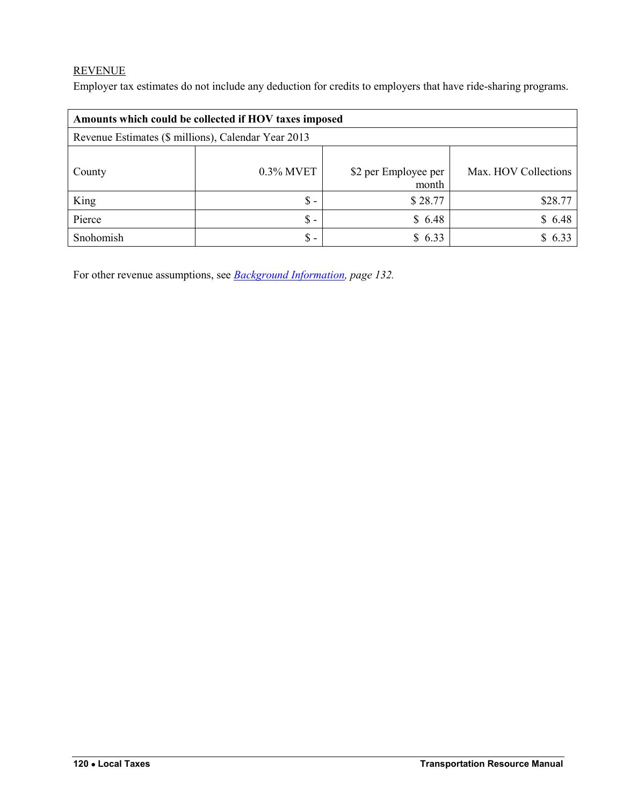# **REVENUE**

Employer tax estimates do not include any deduction for credits to employers that have ride-sharing programs.

| Amounts which could be collected if HOV taxes imposed |                 |                               |                      |  |  |  |
|-------------------------------------------------------|-----------------|-------------------------------|----------------------|--|--|--|
| Revenue Estimates (\$ millions), Calendar Year 2013   |                 |                               |                      |  |  |  |
| County                                                | $0.3\%$ MVET    | \$2 per Employee per<br>month | Max. HOV Collections |  |  |  |
| King                                                  | $\mathbb S$ -   | \$28.77                       | \$28.77              |  |  |  |
| Pierce                                                | $\mathsf{\$}$ - | \$6.48                        | \$6.48               |  |  |  |
| Snohomish                                             | $\mathbb{S}$ -  | \$6.33                        | \$633                |  |  |  |

For other revenue assumptions, see *[Background Information,](#page-19-0) page 132.*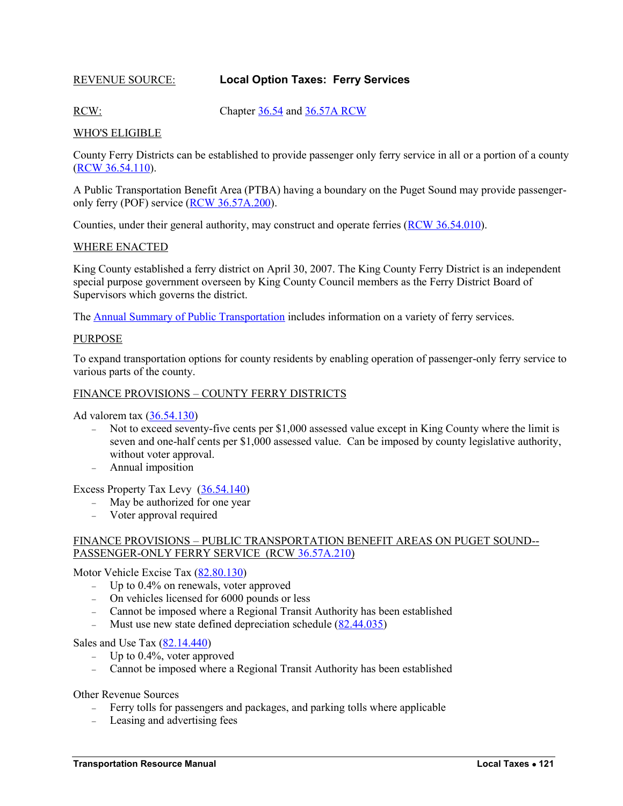# <span id="page-8-1"></span><span id="page-8-0"></span>REVENUE SOURCE: **Local Option Taxes: Ferry Services**

RCW: Chapter [36.54](http://apps.leg.wa.gov/rcw/default.aspx?cite=36.54) an[d 36.57A](http://apps.leg.wa.gov/rcw/default.aspx?cite=36.57A) RCW

### WHO'S ELIGIBLE

County Ferry Districts can be established to provide passenger only ferry service in all or a portion of a county [\(RCW 36.54.110\)](http://apps.leg.wa.gov/rcw/default.aspx?cite=36.54.110).

A Public Transportation Benefit Area (PTBA) having a boundary on the Puget Sound may provide passengeronly ferry (POF) service [\(RCW 36.57A.200\)](http://apps.leg.wa.gov/rcw/default.aspx?cite=36.57A.200).

Counties, under their general authority, may construct and operate ferries [\(RCW 36.54.010\)](http://apps.leg.wa.gov/rcw/default.aspx?cite=36.54.010).

### WHERE ENACTED

King County established a ferry district on April 30, 2007. The King County Ferry District is an independent special purpose government overseen by King County Council members as the Ferry District Board of Supervisors which governs the district.

The [Annual Summary of Public Transportation](http://www.wsdot.wa.gov/publications/manuals/fulltext/m0000/TransitSummary/PTSummary2013.pdf) includes information on a variety of ferry services.

#### PURPOSE

To expand transportation options for county residents by enabling operation of passenger-only ferry service to various parts of the county.

### FINANCE PROVISIONS – COUNTY FERRY DISTRICTS

Ad valorem tax [\(36.54.130\)](http://apps.leg.wa.gov/rcw/default.aspx?cite=36.54.130)

- Not to exceed seventy-five cents per \$1,000 assessed value except in King County where the limit is seven and one-half cents per \$1,000 assessed value. Can be imposed by county legislative authority, without voter approval.
- Annual imposition

Excess Property Tax Levy [\(36.54.140\)](http://apps.leg.wa.gov/rcw/default.aspx?cite=36.54.140)

- May be authorized for one year
- Voter approval required

### FINANCE PROVISIONS – PUBLIC TRANSPORTATION BENEFIT AREAS ON PUGET SOUND-- PASSENGER-ONLY FERRY SERVICE (RCW [36.57A.210\)](http://apps.leg.wa.gov/rcw/default.aspx?cite=36.57A.210)

Motor Vehicle Excise Tax [\(82.80.130\)](http://apps.leg.wa.gov/rcw/default.aspx?cite=82.80.130)

- Up to 0.4% on renewals, voter approved
- On vehicles licensed for 6000 pounds or less
- Cannot be imposed where a Regional Transit Authority has been established
- Must use new state defined depreciation schedule [\(82.44.035\)](http://apps.leg.wa.gov/rcw/default.aspx?cite=82.44.035)

Sales and Use Tax  $(82.14.440)$ 

- $-$  Up to 0.4%, voter approved
- Cannot be imposed where a Regional Transit Authority has been established

Other Revenue Sources

- Ferry tolls for passengers and packages, and parking tolls where applicable
- Leasing and advertising fees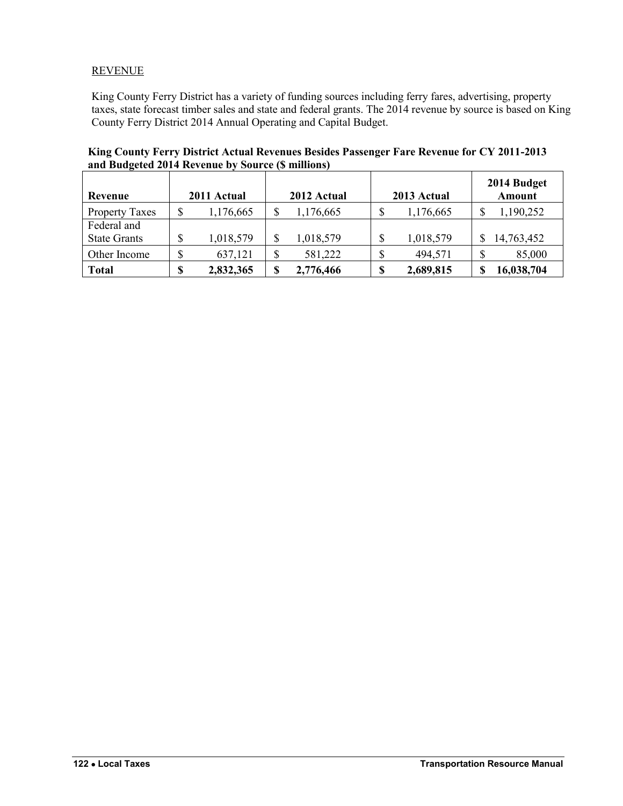# **REVENUE**

King County Ferry District has a variety of funding sources including ferry fares, advertising, property taxes, state forecast timber sales and state and federal grants. The 2014 revenue by source is based on King County Ferry District 2014 Annual Operating and Capital Budget.

**King County Ferry District Actual Revenues Besides Passenger Fare Revenue for CY 2011-2013 and Budgeted 2014 Revenue by Source (\$ millions)**

| Revenue               |    | 2011 Actual | 2012 Actual     |    | 2013 Actual |    | 2014 Budget<br>Amount |
|-----------------------|----|-------------|-----------------|----|-------------|----|-----------------------|
| <b>Property Taxes</b> | \$ | 1,176,665   | \$<br>1,176,665 | \$ | 1,176,665   | \$ | 1,190,252             |
| Federal and           |    |             |                 |    |             |    |                       |
| <b>State Grants</b>   | ♪  | 1,018,579   | \$<br>1,018,579 | \$ | 1,018,579   | \$ | 14,763,452            |
| Other Income          | P  | 637,121     | \$<br>581,222   | \$ | 494,571     | \$ | 85,000                |
| <b>Total</b>          | \$ | 2,832,365   | \$<br>2,776,466 | S  | 2,689,815   | S  | 16,038,704            |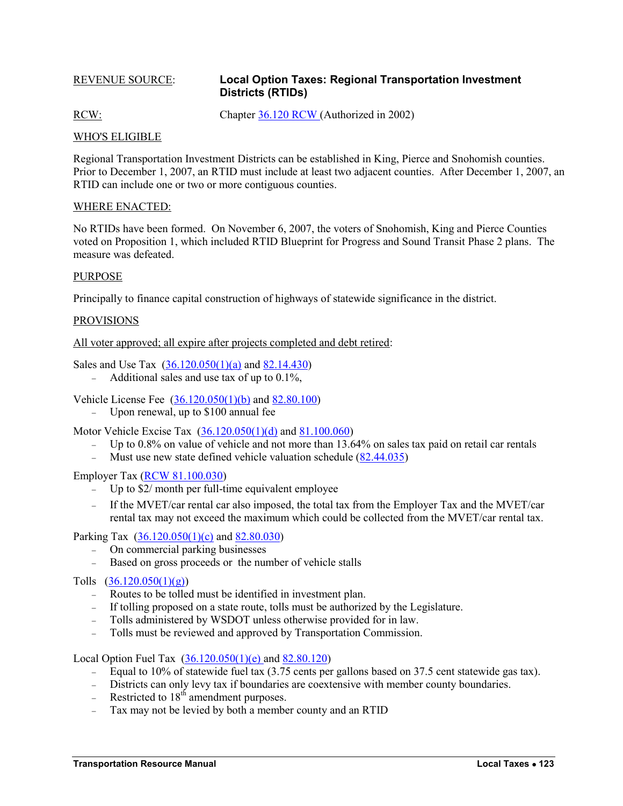# <span id="page-10-2"></span><span id="page-10-0"></span>REVENUE SOURCE: **Local Option Taxes: Regional Transportation Investment Districts (RTIDs)**

RCW: Chapter [36.120](http://apps.leg.wa.gov/rcw/default.aspx?cite=36.120) RCW (Authorized in 2002)

# WHO'S ELIGIBLE

Regional Transportation Investment Districts can be established in King, Pierce and Snohomish counties. Prior to December 1, 2007, an RTID must include at least two adjacent counties. After December 1, 2007, an RTID can include one or two or more contiguous counties.

### WHERE ENACTED:

No RTIDs have been formed. On November 6, 2007, the voters of Snohomish, King and Pierce Counties voted on Proposition 1, which included RTID Blueprint for Progress and Sound Transit Phase 2 plans. The measure was defeated.

### PURPOSE

Principally to finance capital construction of highways of statewide significance in the district.

### PROVISIONS

All voter approved; all expire after projects completed and debt retired:

Sales and Use Tax [\(36.120.050\(1\)\(a\)](http://apps.leg.wa.gov/rcw/default.aspx?cite=36.120.050) an[d 82.14.430\)](http://apps.leg.wa.gov/rcw/default.aspx?cite=82.14.430)

- Additional sales and use tax of up to  $0.1\%$ ,

Vehicle License Fee [\(36.120.050\(1\)\(b\)](http://apps.leg.wa.gov/rcw/default.aspx?cite=36.120.050) and [82.80.100\)](http://apps.leg.wa.gov/rcw/default.aspx?cite=82.80.100)

Upon renewal, up to \$100 annual fee

Motor Vehicle Excise Tax [\(36.120.050\(1\)\(d\)](http://apps.leg.wa.gov/rcw/default.aspx?cite=36.120.050) and [81.100.060\)](http://apps.leg.wa.gov/rcw/default.aspx?cite=81.100.060)

- Up to  $0.8\%$  on value of vehicle and not more than 13.64% on sales tax paid on retail car rentals
- Must use new state defined vehicle valuation schedule [\(82.44.035\)](http://apps.leg.wa.gov/rcw/default.aspx?cite=82.44.035)

Employer Tax [\(RCW 81.100.030\)](http://apps.leg.wa.gov/rcw/default.aspx?cite=81.100.030)

- Up to \$2/ month per full-time equivalent employee
- If the MVET/car rental car also imposed, the total tax from the Employer Tax and the MVET/car rental tax may not exceed the maximum which could be collected from the MVET/car rental tax.

Parking Tax [\(36.120.050\(1\)\(c\)](http://apps.leg.wa.gov/rcw/default.aspx?cite=36.120.050) and [82.80.030\)](http://apps.leg.wa.gov/rcw/default.aspx?cite=82.80.030)

- On commercial parking businesses
- Based on gross proceeds or the number of vehicle stalls

# <span id="page-10-1"></span>Tolls  $(36.120.050(1)(g))$

- Routes to be tolled must be identified in investment plan.
- If tolling proposed on a state route, tolls must be authorized by the Legislature.
- Tolls administered by WSDOT unless otherwise provided for in law.
- Tolls must be reviewed and approved by Transportation Commission.

Local Option Fuel Tax [\(36.120.050\(1\)\(e\) a](http://apps.leg.wa.gov/rcw/default.aspx?cite=36.120.050)n[d 82.80.120\)](http://apps.leg.wa.gov/rcw/default.aspx?cite=82.80.120)

- Equal to 10% of statewide fuel tax (3.75 cents per gallons based on 37.5 cent statewide gas tax).
- Districts can only levy tax if boundaries are coextensive with member county boundaries.
- Restricted to  $18<sup>th</sup>$  amendment purposes.
- Tax may not be levied by both a member county and an RTID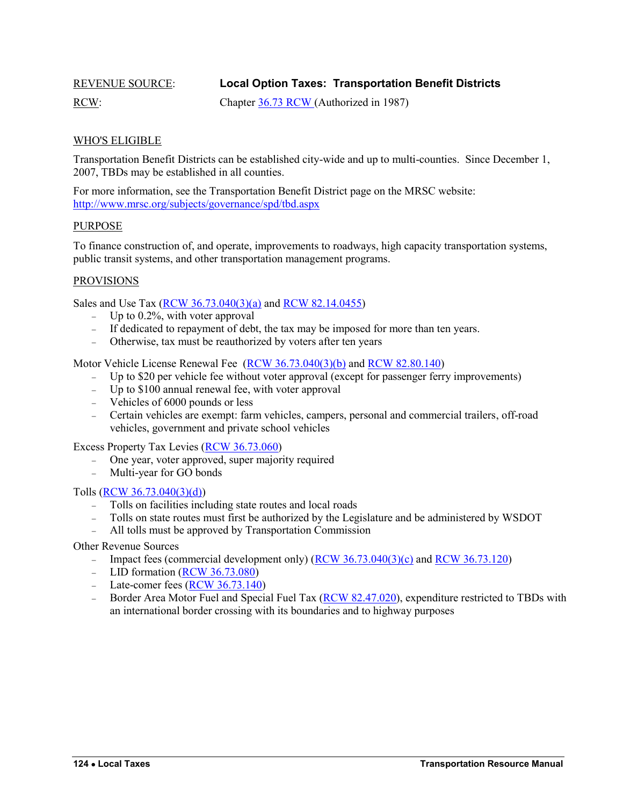<span id="page-11-0"></span>

REVENUE SOURCE: **Local Option Taxes: Transportation Benefit Districts**

RCW: Chapter [36.73](http://apps.leg.wa.gov/rcw/default.aspx?cite=36.73) RCW (Authorized in 1987)

# WHO'S ELIGIBLE

Transportation Benefit Districts can be established city-wide and up to multi-counties. Since December 1, 2007, TBDs may be established in all counties.

For more information, see the Transportation Benefit District page on the MRSC website: <http://www.mrsc.org/subjects/governance/spd/tbd.aspx>

# PURPOSE

To finance construction of, and operate, improvements to roadways, high capacity transportation systems, public transit systems, and other transportation management programs.

### PROVISIONS

Sales and Use Tax [\(RCW 36.73.040\(3\)\(a\)](http://apps.leg.wa.gov/rcw/default.aspx?cite=36.73.040) and [RCW 82.14.0455\)](http://apps.leg.wa.gov/rcw/default.aspx?cite=82.14.0455)

- Up to  $0.2\%$ , with voter approval
- If dedicated to repayment of debt, the tax may be imposed for more than ten years.
- Otherwise, tax must be reauthorized by voters after ten years

Motor Vehicle License Renewal Fee [\(RCW 36.73.040\(3\)\(b\)](http://apps.leg.wa.gov/rcw/default.aspx?cite=36.73.040) and [RCW 82.80.140\)](http://apps.leg.wa.gov/rcw/default.aspx?cite=82.80.140)

- Up to \$20 per vehicle fee without voter approval (except for passenger ferry improvements)
- Up to \$100 annual renewal fee, with voter approval
- Vehicles of 6000 pounds or less
- Certain vehicles are exempt: farm vehicles, campers, personal and commercial trailers, off-road vehicles, government and private school vehicles

Excess Property Tax Levies [\(RCW 36.73.060\)](http://apps.leg.wa.gov/rcw/default.aspx?cite=36.73.060)

- One year, voter approved, super majority required
- Multi-year for GO bonds

Tolls [\(RCW 36.73.040\(3\)\(d\)\)](http://apps.leg.wa.gov/rcw/default.aspx?cite=36.73.040)

- Tolls on facilities including state routes and local roads
- Tolls on state routes must first be authorized by the Legislature and be administered by WSDOT
- All tolls must be approved by Transportation Commission

<span id="page-11-1"></span>Other Revenue Sources

- Impact fees (commercial development only) [\(RCW 36.73.040\(3\)\(c\)](http://apps.leg.wa.gov/rcw/default.aspx?cite=36.73.040) an[d RCW 36.73.120\)](http://apps.leg.wa.gov/rcw/default.aspx?cite=36.73.120)
- LID formation  $(RCW 36.73.080)$
- Late-comer fees  $(RCW 36.73.140)$
- Border Area Motor Fuel and Special Fuel Tax [\(RCW 82.47.020\)](http://apps.leg.wa.gov/rcw/default.aspx?cite=82.47.020), expenditure restricted to TBDs with an international border crossing with its boundaries and to highway purposes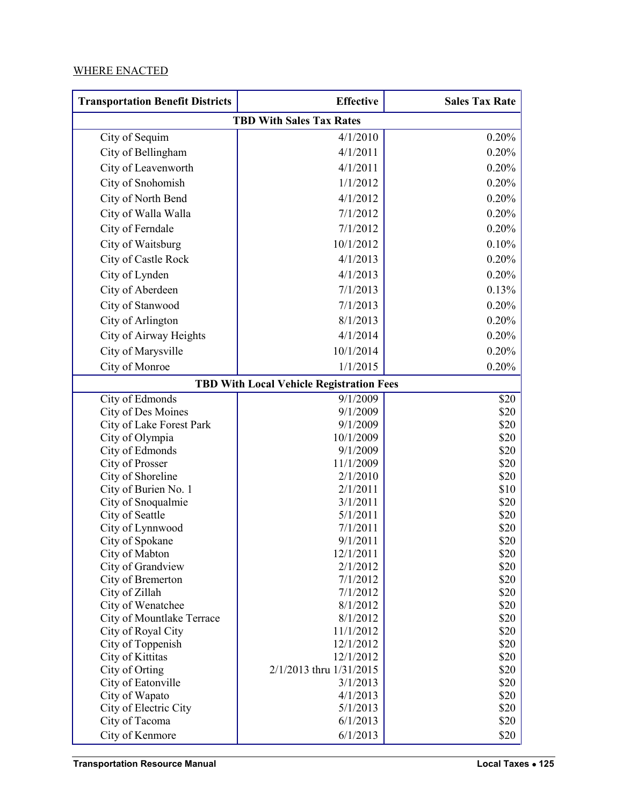# WHERE ENACTED

| <b>Transportation Benefit Districts</b>                                                                                                                                                                                                                                                                                                     | <b>Effective</b>                                                                                                                                                                   | <b>Sales Tax Rate</b>                                                                                                        |  |  |  |  |
|---------------------------------------------------------------------------------------------------------------------------------------------------------------------------------------------------------------------------------------------------------------------------------------------------------------------------------------------|------------------------------------------------------------------------------------------------------------------------------------------------------------------------------------|------------------------------------------------------------------------------------------------------------------------------|--|--|--|--|
| <b>TBD With Sales Tax Rates</b>                                                                                                                                                                                                                                                                                                             |                                                                                                                                                                                    |                                                                                                                              |  |  |  |  |
| City of Sequim                                                                                                                                                                                                                                                                                                                              | 4/1/2010                                                                                                                                                                           | 0.20%                                                                                                                        |  |  |  |  |
| City of Bellingham                                                                                                                                                                                                                                                                                                                          | 4/1/2011                                                                                                                                                                           | 0.20%                                                                                                                        |  |  |  |  |
| City of Leavenworth                                                                                                                                                                                                                                                                                                                         | 4/1/2011                                                                                                                                                                           | 0.20%                                                                                                                        |  |  |  |  |
| City of Snohomish                                                                                                                                                                                                                                                                                                                           | 1/1/2012                                                                                                                                                                           | 0.20%                                                                                                                        |  |  |  |  |
| City of North Bend                                                                                                                                                                                                                                                                                                                          | 4/1/2012                                                                                                                                                                           | 0.20%                                                                                                                        |  |  |  |  |
| City of Walla Walla                                                                                                                                                                                                                                                                                                                         | 7/1/2012                                                                                                                                                                           | 0.20%                                                                                                                        |  |  |  |  |
| City of Ferndale                                                                                                                                                                                                                                                                                                                            | 7/1/2012                                                                                                                                                                           | 0.20%                                                                                                                        |  |  |  |  |
| City of Waitsburg                                                                                                                                                                                                                                                                                                                           | 10/1/2012                                                                                                                                                                          | 0.10%                                                                                                                        |  |  |  |  |
| City of Castle Rock                                                                                                                                                                                                                                                                                                                         | 4/1/2013                                                                                                                                                                           | 0.20%                                                                                                                        |  |  |  |  |
| City of Lynden                                                                                                                                                                                                                                                                                                                              | 4/1/2013                                                                                                                                                                           | 0.20%                                                                                                                        |  |  |  |  |
| City of Aberdeen                                                                                                                                                                                                                                                                                                                            | 7/1/2013                                                                                                                                                                           | 0.13%                                                                                                                        |  |  |  |  |
|                                                                                                                                                                                                                                                                                                                                             |                                                                                                                                                                                    |                                                                                                                              |  |  |  |  |
| City of Stanwood                                                                                                                                                                                                                                                                                                                            | 7/1/2013                                                                                                                                                                           | 0.20%                                                                                                                        |  |  |  |  |
| City of Arlington                                                                                                                                                                                                                                                                                                                           | 8/1/2013                                                                                                                                                                           | 0.20%                                                                                                                        |  |  |  |  |
| City of Airway Heights                                                                                                                                                                                                                                                                                                                      | 4/1/2014                                                                                                                                                                           | 0.20%                                                                                                                        |  |  |  |  |
| City of Marysville                                                                                                                                                                                                                                                                                                                          | 10/1/2014                                                                                                                                                                          | 0.20%                                                                                                                        |  |  |  |  |
| City of Monroe                                                                                                                                                                                                                                                                                                                              | 1/1/2015                                                                                                                                                                           | 0.20%                                                                                                                        |  |  |  |  |
|                                                                                                                                                                                                                                                                                                                                             | <b>TBD With Local Vehicle Registration Fees</b>                                                                                                                                    |                                                                                                                              |  |  |  |  |
| City of Edmonds                                                                                                                                                                                                                                                                                                                             | 9/1/2009                                                                                                                                                                           | \$20                                                                                                                         |  |  |  |  |
| City of Des Moines                                                                                                                                                                                                                                                                                                                          | 9/1/2009                                                                                                                                                                           | \$20                                                                                                                         |  |  |  |  |
| City of Lake Forest Park                                                                                                                                                                                                                                                                                                                    | 9/1/2009                                                                                                                                                                           | \$20                                                                                                                         |  |  |  |  |
| City of Olympia                                                                                                                                                                                                                                                                                                                             | 10/1/2009                                                                                                                                                                          | \$20                                                                                                                         |  |  |  |  |
|                                                                                                                                                                                                                                                                                                                                             |                                                                                                                                                                                    |                                                                                                                              |  |  |  |  |
|                                                                                                                                                                                                                                                                                                                                             |                                                                                                                                                                                    |                                                                                                                              |  |  |  |  |
|                                                                                                                                                                                                                                                                                                                                             |                                                                                                                                                                                    |                                                                                                                              |  |  |  |  |
|                                                                                                                                                                                                                                                                                                                                             |                                                                                                                                                                                    |                                                                                                                              |  |  |  |  |
| City of Seattle                                                                                                                                                                                                                                                                                                                             | 5/1/2011                                                                                                                                                                           | \$20                                                                                                                         |  |  |  |  |
| City of Lynnwood                                                                                                                                                                                                                                                                                                                            | 7/1/2011                                                                                                                                                                           | \$20                                                                                                                         |  |  |  |  |
| City of Spokane                                                                                                                                                                                                                                                                                                                             | 9/1/2011                                                                                                                                                                           | \$20                                                                                                                         |  |  |  |  |
|                                                                                                                                                                                                                                                                                                                                             |                                                                                                                                                                                    |                                                                                                                              |  |  |  |  |
|                                                                                                                                                                                                                                                                                                                                             |                                                                                                                                                                                    |                                                                                                                              |  |  |  |  |
|                                                                                                                                                                                                                                                                                                                                             |                                                                                                                                                                                    |                                                                                                                              |  |  |  |  |
|                                                                                                                                                                                                                                                                                                                                             |                                                                                                                                                                                    |                                                                                                                              |  |  |  |  |
|                                                                                                                                                                                                                                                                                                                                             |                                                                                                                                                                                    |                                                                                                                              |  |  |  |  |
|                                                                                                                                                                                                                                                                                                                                             | 11/1/2012                                                                                                                                                                          |                                                                                                                              |  |  |  |  |
| City of Toppenish                                                                                                                                                                                                                                                                                                                           | 12/1/2012                                                                                                                                                                          | \$20                                                                                                                         |  |  |  |  |
| City of Kittitas                                                                                                                                                                                                                                                                                                                            | 12/1/2012                                                                                                                                                                          | \$20                                                                                                                         |  |  |  |  |
| City of Orting                                                                                                                                                                                                                                                                                                                              | 2/1/2013 thru 1/31/2015                                                                                                                                                            | \$20                                                                                                                         |  |  |  |  |
| City of Eatonville                                                                                                                                                                                                                                                                                                                          | 3/1/2013                                                                                                                                                                           | \$20                                                                                                                         |  |  |  |  |
|                                                                                                                                                                                                                                                                                                                                             |                                                                                                                                                                                    |                                                                                                                              |  |  |  |  |
|                                                                                                                                                                                                                                                                                                                                             |                                                                                                                                                                                    |                                                                                                                              |  |  |  |  |
|                                                                                                                                                                                                                                                                                                                                             |                                                                                                                                                                                    |                                                                                                                              |  |  |  |  |
| City of Edmonds<br>City of Prosser<br>City of Shoreline<br>City of Burien No. 1<br>City of Snoqualmie<br>City of Mabton<br>City of Grandview<br>City of Bremerton<br>City of Zillah<br>City of Wenatchee<br>City of Mountlake Terrace<br>City of Royal City<br>City of Wapato<br>City of Electric City<br>City of Tacoma<br>City of Kenmore | 9/1/2009<br>11/1/2009<br>2/1/2010<br>2/1/2011<br>3/1/2011<br>12/1/2011<br>2/1/2012<br>7/1/2012<br>7/1/2012<br>8/1/2012<br>8/1/2012<br>4/1/2013<br>5/1/2013<br>6/1/2013<br>6/1/2013 | \$20<br>\$20<br>\$20<br>\$10<br>\$20<br>\$20<br>\$20<br>\$20<br>\$20<br>\$20<br>\$20<br>\$20<br>\$20<br>\$20<br>\$20<br>\$20 |  |  |  |  |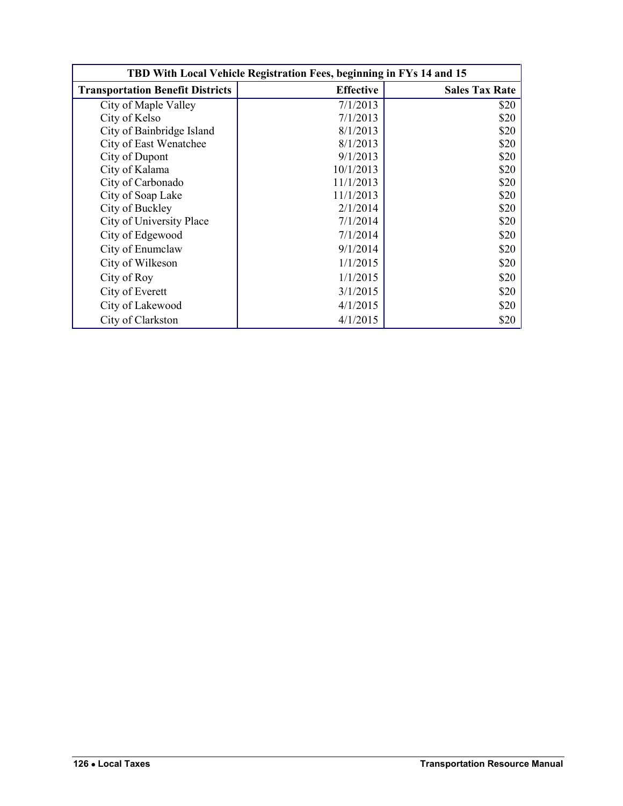| TBD With Local Vehicle Registration Fees, beginning in FYs 14 and 15 |                  |                       |  |  |  |
|----------------------------------------------------------------------|------------------|-----------------------|--|--|--|
| <b>Transportation Benefit Districts</b>                              | <b>Effective</b> | <b>Sales Tax Rate</b> |  |  |  |
| City of Maple Valley                                                 | 7/1/2013         | \$20                  |  |  |  |
| City of Kelso                                                        | 7/1/2013         | \$20                  |  |  |  |
| City of Bainbridge Island                                            | 8/1/2013         | \$20                  |  |  |  |
| City of East Wenatchee                                               | 8/1/2013         | \$20                  |  |  |  |
| City of Dupont                                                       | 9/1/2013         | \$20                  |  |  |  |
| City of Kalama                                                       | 10/1/2013        | \$20                  |  |  |  |
| City of Carbonado                                                    | 11/1/2013        | \$20                  |  |  |  |
| City of Soap Lake                                                    | 11/1/2013        | \$20                  |  |  |  |
| City of Buckley                                                      | 2/1/2014         | \$20                  |  |  |  |
| City of University Place                                             | 7/1/2014         | \$20                  |  |  |  |
| City of Edgewood                                                     | 7/1/2014         | \$20                  |  |  |  |
| City of Enumclaw                                                     | 9/1/2014         | \$20                  |  |  |  |
| City of Wilkeson                                                     | 1/1/2015         | \$20                  |  |  |  |
| City of Roy                                                          | 1/1/2015         | \$20                  |  |  |  |
| City of Everett                                                      | 3/1/2015         | \$20                  |  |  |  |
| City of Lakewood                                                     | 4/1/2015         | \$20                  |  |  |  |
| City of Clarkston                                                    | 4/1/2015         | \$20                  |  |  |  |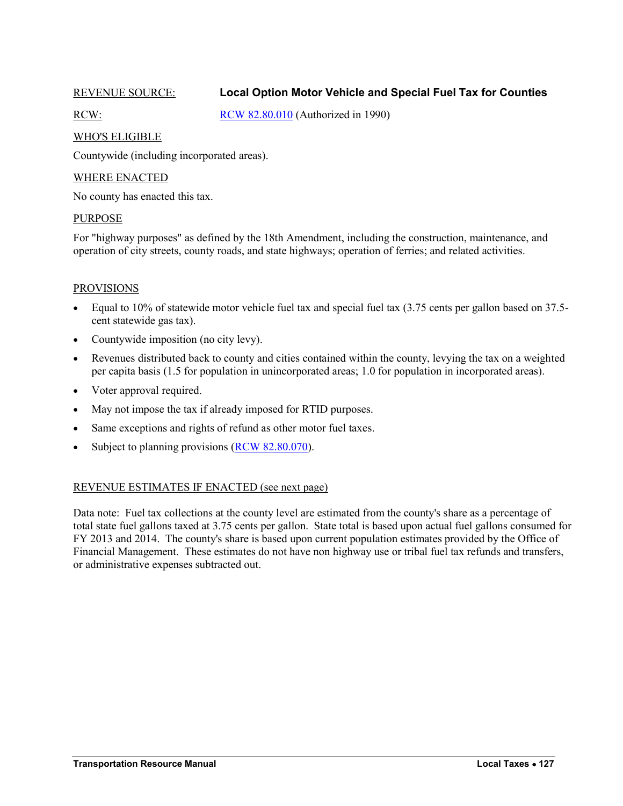# <span id="page-14-1"></span><span id="page-14-0"></span>REVENUE SOURCE: **Local Option Motor Vehicle and Special Fuel Tax for Counties**

RCW: [RCW 82.80.010](http://apps.leg.wa.gov/rcw/default.aspx?cite=82.80.010) (Authorized in 1990)

# WHO'S ELIGIBLE

Countywide (including incorporated areas).

# WHERE ENACTED

No county has enacted this tax.

# PURPOSE

For "highway purposes" as defined by the 18th Amendment, including the construction, maintenance, and operation of city streets, county roads, and state highways; operation of ferries; and related activities.

# PROVISIONS

- Equal to 10% of statewide motor vehicle fuel tax and special fuel tax (3.75 cents per gallon based on 37.5 cent statewide gas tax).
- Countywide imposition (no city levy).
- Revenues distributed back to county and cities contained within the county, levying the tax on a weighted per capita basis (1.5 for population in unincorporated areas; 1.0 for population in incorporated areas).
- Voter approval required.
- May not impose the tax if already imposed for RTID purposes.
- Same exceptions and rights of refund as other motor fuel taxes.
- Subject to planning provisions  $(RCW 82.80.070)$ .

# REVENUE ESTIMATES IF ENACTED (see next page)

Data note: Fuel tax collections at the county level are estimated from the county's share as a percentage of total state fuel gallons taxed at 3.75 cents per gallon. State total is based upon actual fuel gallons consumed for FY 2013 and 2014. The county's share is based upon current population estimates provided by the Office of Financial Management. These estimates do not have non highway use or tribal fuel tax refunds and transfers, or administrative expenses subtracted out.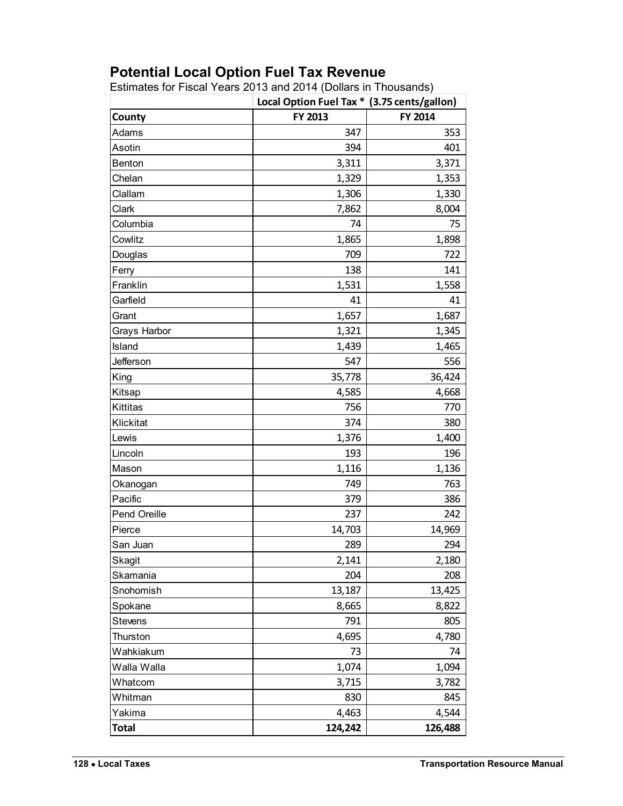# **Potential Local Option Fuel Tax Revenue**

Estimates for Fiscal Years 2013 and 2014 (Dollars in Thousands)

|                | Local Option Fuel Tax * (3.75 cents/gallon) |         |
|----------------|---------------------------------------------|---------|
| County         | FY 2013                                     | FY 2014 |
| Adams          | 347                                         | 353     |
| Asotin         | 394                                         | 401     |
| <b>Benton</b>  | 3,311                                       | 3,371   |
| Chelan         | 1,329                                       | 1,353   |
| Clallam        | 1,306                                       | 1,330   |
| Clark          | 7,862                                       | 8,004   |
| Columbia       | 74                                          | 75      |
| Cowlitz        | 1,865                                       | 1,898   |
| Douglas        | 709                                         | 722     |
| Ferry          | 138                                         | 141     |
| Franklin       | 1,531                                       | 1,558   |
| Garfield       | 41                                          | 41      |
| Grant          | 1,657                                       | 1,687   |
| Grays Harbor   | 1,321                                       | 1,345   |
| Island         | 1,439                                       | 1,465   |
| Jefferson      | 547                                         | 556     |
| King           | 35,778                                      | 36,424  |
| Kitsap         | 4,585                                       | 4,668   |
| Kittitas       | 756                                         | 770     |
| Klickitat      | 374                                         | 380     |
| Lewis          | 1,376                                       | 1,400   |
| Lincoln        | 193                                         | 196     |
| Mason          | 1,116                                       | 1,136   |
| Okanogan       | 749                                         | 763     |
| Pacific        | 379                                         | 386     |
| Pend Oreille   | 237                                         | 242     |
| Pierce         | 14,703                                      | 14,969  |
| San Juan       | 289                                         | 294     |
| Skagit         | 2,141                                       | 2,180   |
| Skamania       | 204                                         | 208     |
| Snohomish      | 13,187                                      | 13,425  |
| Spokane        | 8,665                                       | 8,822   |
| <b>Stevens</b> | 791                                         | 805     |
| Thurston       | 4,695                                       | 4,780   |
| Wahkiakum      | 73                                          | 74      |
| Walla Walla    | 1,074                                       | 1,094   |
| Whatcom        | 3,715                                       | 3,782   |
| Whitman        | 830                                         | 845     |
| Yakima         | 4,463                                       | 4,544   |
| <b>Total</b>   | 124,242                                     | 126,488 |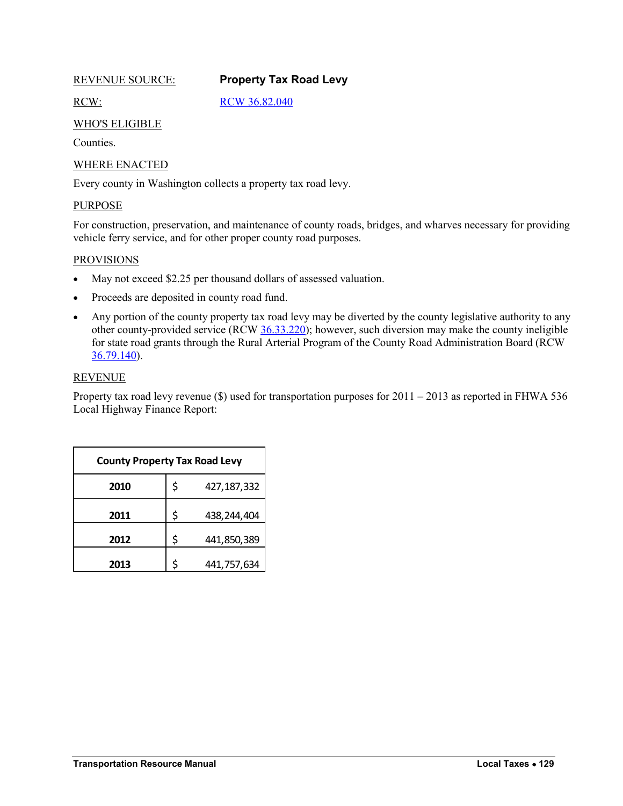<span id="page-16-0"></span>

# <span id="page-16-1"></span>REVENUE SOURCE: **Property Tax Road Levy**

RCW: [RCW 36.82.040](http://apps.leg.wa.gov/rcw/default.aspx?cite=36.82.040)

# WHO'S ELIGIBLE

**Counties** 

# WHERE ENACTED

Every county in Washington collects a property tax road levy.

# PURPOSE

For construction, preservation, and maintenance of county roads, bridges, and wharves necessary for providing vehicle ferry service, and for other proper county road purposes.

### **PROVISIONS**

- May not exceed \$2.25 per thousand dollars of assessed valuation.
- Proceeds are deposited in county road fund.
- Any portion of the county property tax road levy may be diverted by the county legislative authority to any other county-provided service (RCW [36.33.220\)](http://apps.leg.wa.gov/rcw/default.aspx?cite=36.33.220); however, such diversion may make the county ineligible for state road grants through the Rural Arterial Program of the County Road Administration Board (RCW [36.79.140\)](http://apps.leg.wa.gov/rcw/default.aspx?cite=36.79.140).

# REVENUE

Property tax road levy revenue (\$) used for transportation purposes for 2011 – 2013 as reported in FHWA 536 Local Highway Finance Report:

| <b>County Property Tax Road Levy</b> |    |             |  |  |  |
|--------------------------------------|----|-------------|--|--|--|
| 2010                                 | \$ | 427,187,332 |  |  |  |
| 2011                                 | \$ | 438,244,404 |  |  |  |
| 2012                                 | \$ | 441,850,389 |  |  |  |
| 2013                                 | Ś  | 441,757,634 |  |  |  |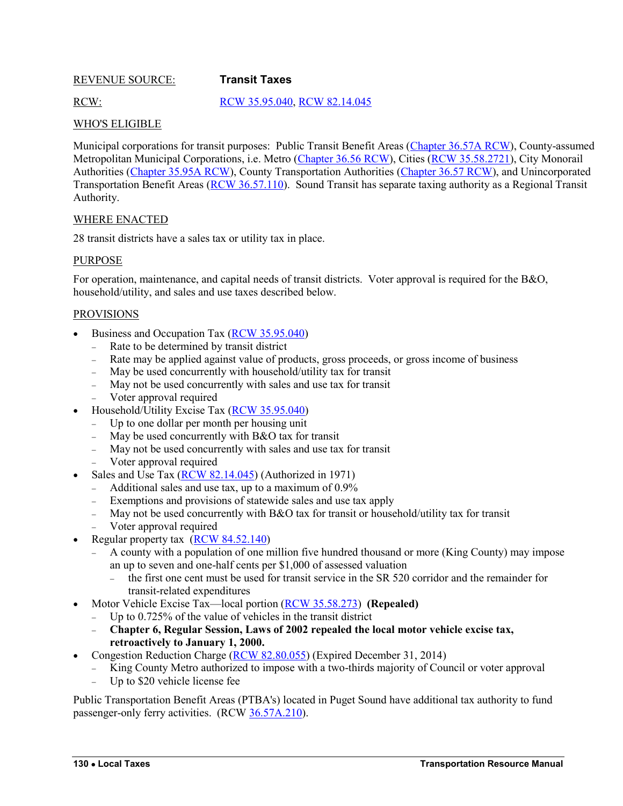# <span id="page-17-1"></span><span id="page-17-0"></span>REVENUE SOURCE: **Transit Taxes**

# RCW: [RCW 35.95.040,](http://apps.leg.wa.gov/rcw/default.aspx?cite=35.95.040) [RCW 82.14.045](http://apps.leg.wa.gov/rcw/default.aspx?cite=82.14.045)

# WHO'S ELIGIBLE

Municipal corporations for transit purposes: Public Transit Benefit Areas [\(Chapter 36.57A RCW\)](http://app.leg.wa.gov/rcw/default.aspx?cite=36.57A), County-assumed Metropolitan Municipal Corporations, i.e. Metro [\(Chapter 36.56 RCW\)](http://app.leg.wa.gov/rcw/default.aspx?cite=36.56), Cities [\(RCW 35.58.2721\)](http://app.leg.wa.gov/rcw/default.aspx?cite=35.58.2721), City Monorail Authorities [\(Chapter 35.95A RCW\)](http://app.leg.wa.gov/rcw/default.aspx?cite=35.95A), County Transportation Authorities [\(Chapter 36.57 RCW\)](http://app.leg.wa.gov/rcw/default.aspx?cite=36.57), and Unincorporated Transportation Benefit Areas [\(RCW 36.57.110\)](http://app.leg.wa.gov/rcw/default.aspx?cite=36.57.110). Sound Transit has separate taxing authority as a Regional Transit Authority.

# WHERE ENACTED

28 transit districts have a sales tax or utility tax in place.

# PURPOSE

For operation, maintenance, and capital needs of transit districts. Voter approval is required for the B&O, household/utility, and sales and use taxes described below.

# PROVISIONS

- Business and Occupation Tax [\(RCW 35.95.040\)](http://apps.leg.wa.gov/rcw/default.aspx?cite=35.95.040)
	- Rate to be determined by transit district
	- Rate may be applied against value of products, gross proceeds, or gross income of business
	- May be used concurrently with household/utility tax for transit
	- May not be used concurrently with sales and use tax for transit
	- Voter approval required
- Household/Utility Excise Tax [\(RCW 35.95.040\)](http://apps.leg.wa.gov/rcw/default.aspx?cite=35.95.040)
	- Up to one dollar per month per housing unit
	- $-$  May be used concurrently with B&O tax for transit
	- May not be used concurrently with sales and use tax for transit
	- Voter approval required
- Sales and Use Tax [\(RCW 82.14.045\)](http://apps.leg.wa.gov/rcw/default.aspx?cite=82.14.045) (Authorized in 1971)
	- Additional sales and use tax, up to a maximum of 0.9%
	- Exemptions and provisions of statewide sales and use tax apply
	- May not be used concurrently with B&O tax for transit or household/utility tax for transit
	- Voter approval required
- Regular property tax [\(RCW 84.52.140\)](http://apps.leg.wa.gov/rcw/default.aspx?cite=84.52.140)
	- A county with a population of one million five hundred thousand or more (King County) may impose an up to seven and one-half cents per \$1,000 of assessed valuation
		- $\epsilon$  the first one cent must be used for transit service in the SR 520 corridor and the remainder for transit-related expenditures
	- Motor Vehicle Excise Tax—local portion [\(RCW 35.58.273\)](http://apps.leg.wa.gov/rcw/dispo.aspx?Cite=35.58) **(Repealed)**
	- Up to 0.725% of the value of vehicles in the transit district
	- **Chapter 6, Regular Session, Laws of 2002 repealed the local motor vehicle excise tax, retroactively to January 1, 2000.**
- Congestion Reduction Charge [\(RCW 82.80.055\)](http://apps.leg.wa.gov/rcw/default.aspx?cite=82.80.055) (Expired December 31, 2014)
	- King County Metro authorized to impose with a two-thirds majority of Council or voter approval
	- Up to \$20 vehicle license fee

Public Transportation Benefit Areas (PTBA's) located in Puget Sound have additional tax authority to fund passenger-only ferry activities. (RCW [36.57A.210\)](http://apps.leg.wa.gov/rcw/default.aspx?cite=36.57A.210).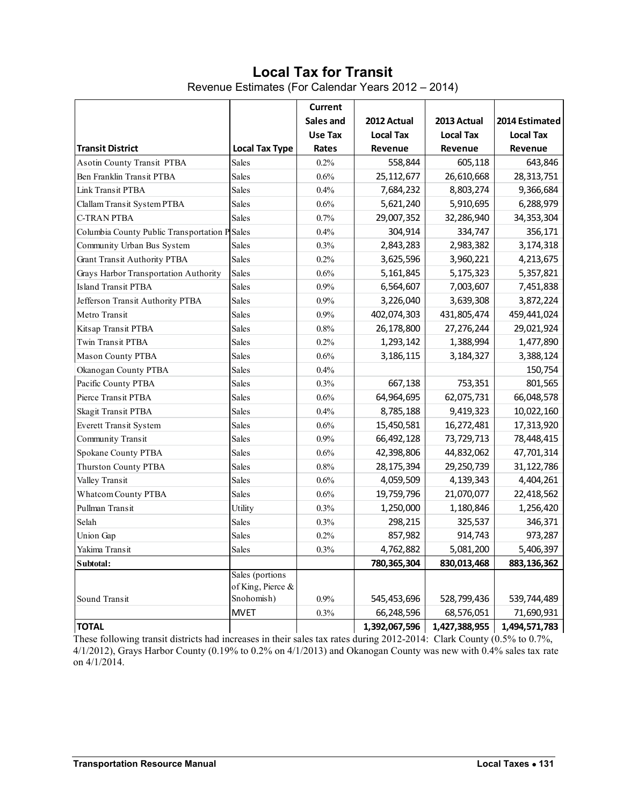# **Local Tax for Transit**

Revenue Estimates (For Calendar Years 2012 – 2014)

<span id="page-18-0"></span>

|                                               |                                      | <b>Current</b><br>Sales and | 2012 Actual      | 2013 Actual      | 2014 Estimated   |
|-----------------------------------------------|--------------------------------------|-----------------------------|------------------|------------------|------------------|
|                                               |                                      | Use Tax                     | <b>Local Tax</b> | <b>Local Tax</b> | <b>Local Tax</b> |
| <b>Transit District</b>                       | <b>Local Tax Type</b>                | Rates                       | Revenue          | Revenue          | Revenue          |
| Asotin County Transit PTBA                    | Sales                                | 0.2%                        | 558,844          | 605,118          | 643,846          |
| Ben Franklin Transit PTBA                     | Sales                                | 0.6%                        | 25,112,677       | 26,610,668       | 28,313,751       |
| Link Transit PTBA                             | Sales                                | 0.4%                        | 7,684,232        | 8,803,274        | 9,366,684        |
| Clallam Transit System PTBA                   | Sales                                | $0.6\%$                     | 5,621,240        | 5,910,695        | 6,288,979        |
| <b>C-TRAN PTBA</b>                            | <b>Sales</b>                         | 0.7%                        | 29,007,352       | 32,286,940       | 34, 353, 304     |
| Columbia County Public Transportation P Sales |                                      | 0.4%                        | 304,914          | 334,747          | 356,171          |
| Community Urban Bus System                    | Sales                                | 0.3%                        | 2,843,283        | 2,983,382        | 3,174,318        |
| <b>Grant Transit Authority PTBA</b>           | <b>Sales</b>                         | 0.2%                        | 3,625,596        | 3,960,221        | 4,213,675        |
| Grays Harbor Transportation Authority         | Sales                                | 0.6%                        | 5,161,845        | 5,175,323        | 5,357,821        |
| <b>Island Transit PTBA</b>                    | Sales                                | 0.9%                        | 6,564,607        | 7,003,607        | 7,451,838        |
| Jefferson Transit Authority PTBA              | Sales                                | 0.9%                        | 3,226,040        | 3,639,308        | 3,872,224        |
| Metro Transit                                 | Sales                                | 0.9%                        | 402,074,303      | 431,805,474      | 459,441,024      |
| Kitsap Transit PTBA                           | Sales                                | $0.8\%$                     | 26,178,800       | 27,276,244       | 29,021,924       |
| Twin Transit PTBA                             | Sales                                | 0.2%                        | 1,293,142        | 1,388,994        | 1,477,890        |
| Mason County PTBA                             | Sales                                | 0.6%                        | 3,186,115        | 3,184,327        | 3,388,124        |
| Okanogan County PTBA                          | Sales                                | 0.4%                        |                  |                  | 150,754          |
| Pacific County PTBA                           | Sales                                | 0.3%                        | 667,138          | 753,351          | 801,565          |
| Pierce Transit PTBA                           | Sales                                | $0.6\%$                     | 64,964,695       | 62,075,731       | 66,048,578       |
| Skagit Transit PTBA                           | <b>Sales</b>                         | 0.4%                        | 8,785,188        | 9,419,323        | 10,022,160       |
| Everett Transit System                        | Sales                                | $0.6\%$                     | 15,450,581       | 16,272,481       | 17,313,920       |
| Community Transit                             | Sales                                | 0.9%                        | 66,492,128       | 73,729,713       | 78,448,415       |
| Spokane County PTBA                           | <b>Sales</b>                         | $0.6\%$                     | 42,398,806       | 44,832,062       | 47,701,314       |
| <b>Thurston County PTBA</b>                   | Sales                                | $0.8\%$                     | 28,175,394       | 29,250,739       | 31,122,786       |
| Valley Transit                                | Sales                                | $0.6\%$                     | 4,059,509        | 4,139,343        | 4,404,261        |
| <b>Whatcom County PTBA</b>                    | Sales                                | $0.6\%$                     | 19,759,796       | 21,070,077       | 22,418,562       |
| Pullman Transit                               | Utility                              | 0.3%                        | 1,250,000        | 1,180,846        | 1,256,420        |
| Selah                                         | <b>Sales</b>                         | 0.3%                        | 298,215          | 325,537          | 346,371          |
| Union Gap                                     | Sales                                | 0.2%                        | 857,982          | 914,743          | 973,287          |
| Yakima Transit                                | Sales                                | $0.3\%$                     | 4,762,882        | 5,081,200        | 5,406,397        |
| Subtotal:                                     |                                      |                             | 780,365,304      | 830,013,468      | 883,136,362      |
|                                               | Sales (portions<br>of King, Pierce & |                             |                  |                  |                  |
| Sound Transit                                 | Snohomish)                           | 0.9%                        | 545,453,696      | 528,799,436      | 539,744,489      |
|                                               | <b>MVET</b>                          | 0.3%                        | 66,248,596       | 68,576,051       | 71,690,931       |
| <b>TOTAL</b>                                  |                                      |                             | 1,392,067,596    | 1,427,388,955    | 1,494,571,783    |

These following transit districts had increases in their sales tax rates during 2012-2014: Clark County (0.5% to 0.7%, 4/1/2012), Grays Harbor County (0.19% to 0.2% on 4/1/2013) and Okanogan County was new with 0.4% sales tax rate on  $4/1/2014$ .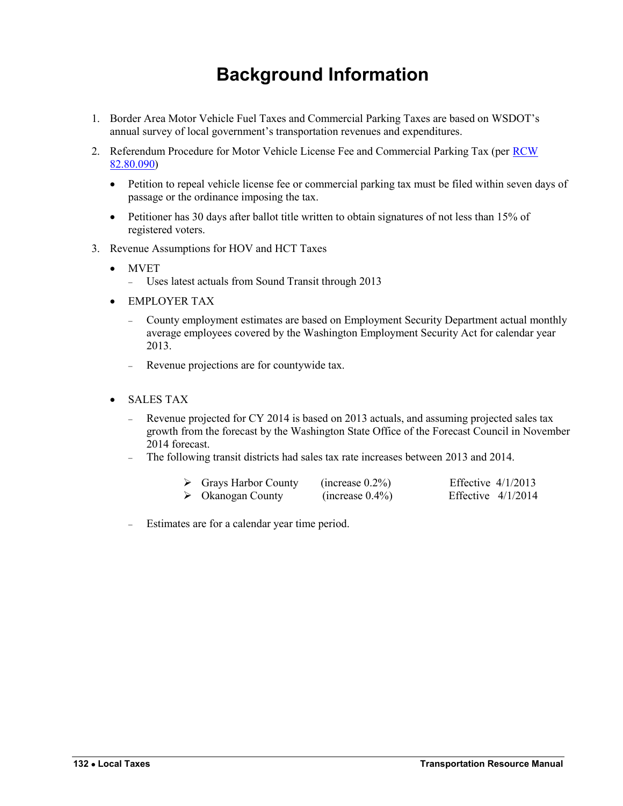# **Background Information**

- <span id="page-19-0"></span>1. Border Area Motor Vehicle Fuel Taxes and Commercial Parking Taxes are based on WSDOT's annual survey of local government's transportation revenues and expenditures.
- 2. Referendum Procedure for Motor Vehicle License Fee and Commercial Parking Tax (per [RCW](http://apps.leg.wa.gov/rcw/default.aspx?cite=82.80.090)  [82.80.090\)](http://apps.leg.wa.gov/rcw/default.aspx?cite=82.80.090)
	- Petition to repeal vehicle license fee or commercial parking tax must be filed within seven days of passage or the ordinance imposing the tax.
	- Petitioner has 30 days after ballot title written to obtain signatures of not less than 15% of registered voters.
- 3. Revenue Assumptions for HOV and HCT Taxes
	- MVET
		- Uses latest actuals from Sound Transit through 2013
	- EMPLOYER TAX
		- County employment estimates are based on Employment Security Department actual monthly average employees covered by the Washington Employment Security Act for calendar year 2013.
		- Revenue projections are for countywide tax.
	- SALES TAX
		- Revenue projected for CY 2014 is based on 2013 actuals, and assuming projected sales tax growth from the forecast by the Washington State Office of the Forecast Council in November 2014 forecast.
		- The following transit districts had sales tax rate increases between 2013 and 2014.

| $\triangleright$ Grays Harbor County | (increase $0.2\%$ ) | Effective $4/1/2013$ |  |
|--------------------------------------|---------------------|----------------------|--|
| $\triangleright$ Okanogan County     | (increase $0.4\%$ ) | Effective $4/1/2014$ |  |

Estimates are for a calendar year time period.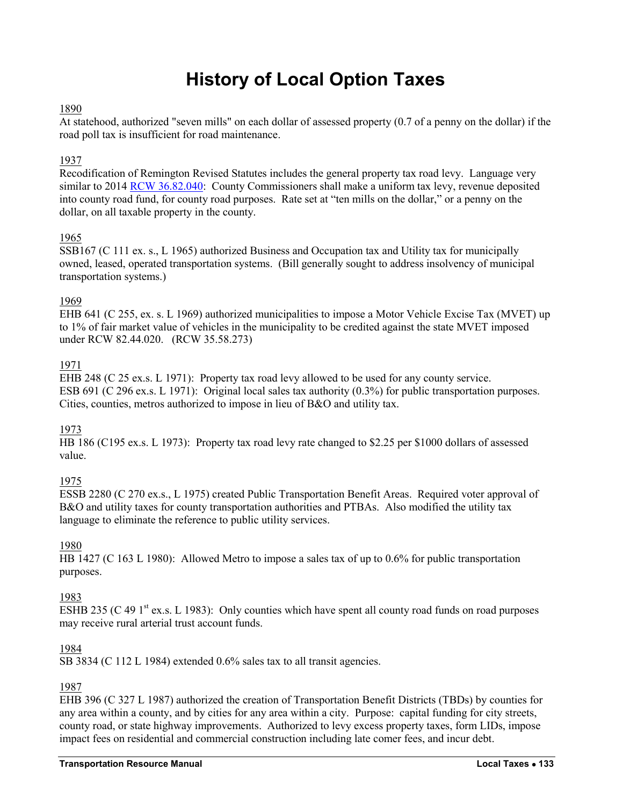# **History of Local Option Taxes**

# <span id="page-20-0"></span>1890

At statehood, authorized "seven mills" on each dollar of assessed property (0.7 of a penny on the dollar) if the road poll tax is insufficient for road maintenance.

# 1937

Recodification of Remington Revised Statutes includes the general property tax road levy. Language very similar to 201[4 RCW 36.82.040:](http://apps.leg.wa.gov/rcw/default.aspx?cite=36.82.040) County Commissioners shall make a uniform tax levy, revenue deposited into county road fund, for county road purposes. Rate set at "ten mills on the dollar," or a penny on the dollar, on all taxable property in the county.

# 1965

SSB167 (C 111 ex. s., L 1965) authorized Business and Occupation tax and Utility tax for municipally owned, leased, operated transportation systems. (Bill generally sought to address insolvency of municipal transportation systems.)

# 1969

EHB 641 (C 255, ex. s. L 1969) authorized municipalities to impose a Motor Vehicle Excise Tax (MVET) up to 1% of fair market value of vehicles in the municipality to be credited against the state MVET imposed under RCW 82.44.020. (RCW 35.58.273)

# 1971

EHB 248 (C 25 ex.s. L 1971): Property tax road levy allowed to be used for any county service. ESB 691 (C 296 ex.s. L 1971): Original local sales tax authority (0.3%) for public transportation purposes. Cities, counties, metros authorized to impose in lieu of B&O and utility tax.

# 1973

HB 186 (C195 ex.s. L 1973): Property tax road levy rate changed to \$2.25 per \$1000 dollars of assessed value.

# 1975

ESSB 2280 (C 270 ex.s., L 1975) created Public Transportation Benefit Areas. Required voter approval of B&O and utility taxes for county transportation authorities and PTBAs. Also modified the utility tax language to eliminate the reference to public utility services.

# 1980

HB 1427 (C 163 L 1980): Allowed Metro to impose a sales tax of up to 0.6% for public transportation purposes.

# 1983

ESHB 235 (C 49  $1<sup>st</sup>$  ex.s. L 1983): Only counties which have spent all county road funds on road purposes may receive rural arterial trust account funds.

# 1984

SB 3834 (C 112 L 1984) extended 0.6% sales tax to all transit agencies.

# 1987

EHB 396 (C 327 L 1987) authorized the creation of Transportation Benefit Districts (TBDs) by counties for any area within a county, and by cities for any area within a city. Purpose: capital funding for city streets, county road, or state highway improvements. Authorized to levy excess property taxes, form LIDs, impose impact fees on residential and commercial construction including late comer fees, and incur debt.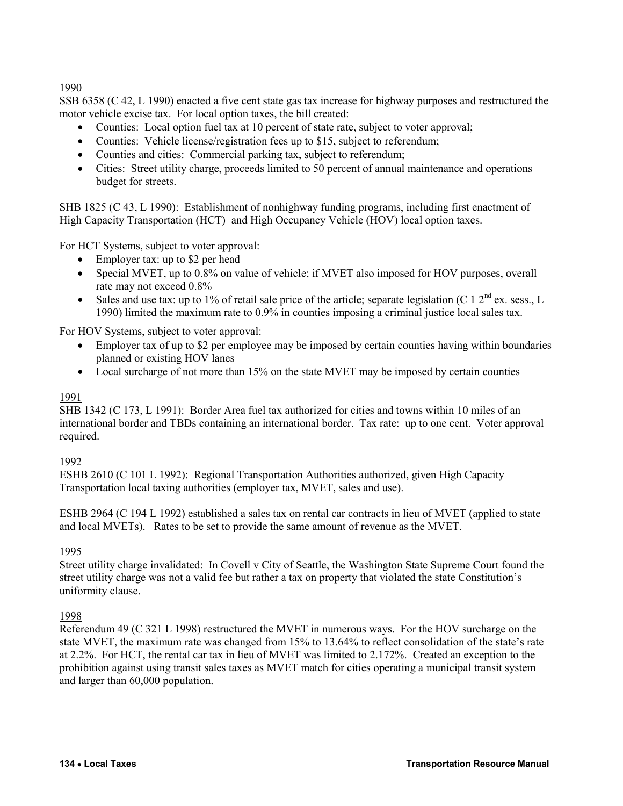1990

SSB 6358 (C 42, L 1990) enacted a five cent state gas tax increase for highway purposes and restructured the motor vehicle excise tax. For local option taxes, the bill created:

- Counties: Local option fuel tax at 10 percent of state rate, subject to voter approval;
- Counties: Vehicle license/registration fees up to \$15, subject to referendum;
- Counties and cities: Commercial parking tax, subject to referendum;
- Cities: Street utility charge, proceeds limited to 50 percent of annual maintenance and operations budget for streets.

SHB 1825 (C 43, L 1990):Establishment of nonhighway funding programs, including first enactment of High Capacity Transportation (HCT) and High Occupancy Vehicle (HOV) local option taxes.

For HCT Systems, subject to voter approval:

- Employer tax: up to \$2 per head
- Special MVET, up to 0.8% on value of vehicle; if MVET also imposed for HOV purposes, overall rate may not exceed 0.8%
- Sales and use tax: up to 1% of retail sale price of the article; separate legislation (C 1  $2<sup>nd</sup>$  ex. sess., L 1990) limited the maximum rate to 0.9% in counties imposing a criminal justice local sales tax.

For HOV Systems, subject to voter approval:

- Employer tax of up to \$2 per employee may be imposed by certain counties having within boundaries planned or existing HOV lanes
- Local surcharge of not more than 15% on the state MVET may be imposed by certain counties

# 1991

SHB 1342 (C 173, L 1991): Border Area fuel tax authorized for cities and towns within 10 miles of an international border and TBDs containing an international border. Tax rate: up to one cent. Voter approval required.

# 1992

ESHB 2610 (C 101 L 1992): Regional Transportation Authorities authorized, given High Capacity Transportation local taxing authorities (employer tax, MVET, sales and use).

ESHB 2964 (C 194 L 1992) established a sales tax on rental car contracts in lieu of MVET (applied to state and local MVETs). Rates to be set to provide the same amount of revenue as the MVET.

# 1995

Street utility charge invalidated: In Covell v City of Seattle, the Washington State Supreme Court found the street utility charge was not a valid fee but rather a tax on property that violated the state Constitution's uniformity clause.

1998

Referendum 49 (C 321 L 1998) restructured the MVET in numerous ways. For the HOV surcharge on the state MVET, the maximum rate was changed from 15% to 13.64% to reflect consolidation of the state's rate at 2.2%. For HCT, the rental car tax in lieu of MVET was limited to 2.172%. Created an exception to the prohibition against using transit sales taxes as MVET match for cities operating a municipal transit system and larger than 60,000 population.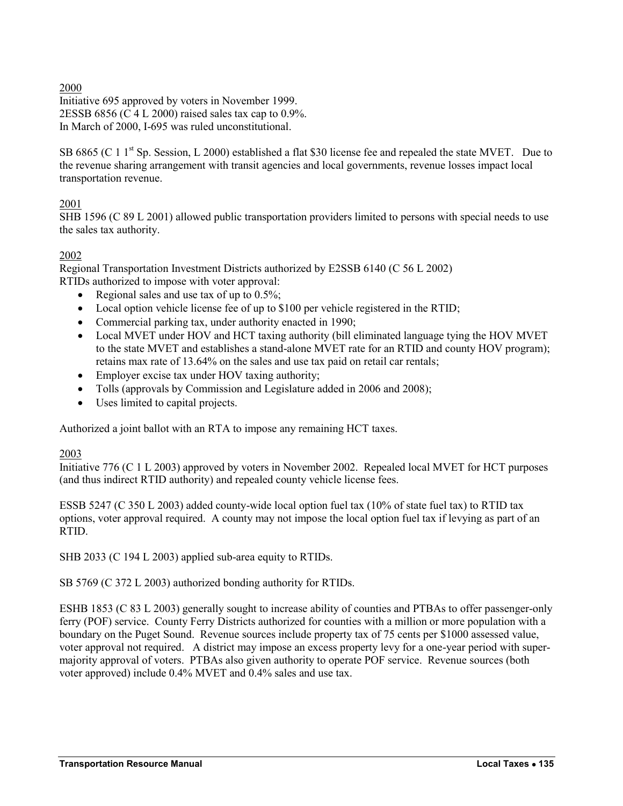# 2000

Initiative 695 approved by voters in November 1999. 2ESSB 6856 (C 4 L 2000) raised sales tax cap to 0.9%. In March of 2000, I-695 was ruled unconstitutional.

SB 6865 (C 1  $1<sup>st</sup>$  Sp. Session, L 2000) established a flat \$30 license fee and repealed the state MVET. Due to the revenue sharing arrangement with transit agencies and local governments, revenue losses impact local transportation revenue.

# 2001

SHB 1596 (C 89 L 2001) allowed public transportation providers limited to persons with special needs to use the sales tax authority.

# 2002

Regional Transportation Investment Districts authorized by E2SSB 6140 (C 56 L 2002) RTIDs authorized to impose with voter approval:

- Regional sales and use tax of up to  $0.5\%$ ;
- Local option vehicle license fee of up to \$100 per vehicle registered in the RTID;
- Commercial parking tax, under authority enacted in 1990;
- Local MVET under HOV and HCT taxing authority (bill eliminated language tying the HOV MVET to the state MVET and establishes a stand-alone MVET rate for an RTID and county HOV program); retains max rate of 13.64% on the sales and use tax paid on retail car rentals;
- Employer excise tax under HOV taxing authority;
- Tolls (approvals by Commission and Legislature added in 2006 and 2008);
- Uses limited to capital projects.

Authorized a joint ballot with an RTA to impose any remaining HCT taxes.

# 2003

Initiative 776 (C 1 L 2003) approved by voters in November 2002. Repealed local MVET for HCT purposes (and thus indirect RTID authority) and repealed county vehicle license fees.

ESSB 5247 (C 350 L 2003) added county-wide local option fuel tax (10% of state fuel tax) to RTID tax options, voter approval required. A county may not impose the local option fuel tax if levying as part of an RTID.

SHB 2033 (C 194 L 2003) applied sub-area equity to RTIDs.

SB 5769 (C 372 L 2003) authorized bonding authority for RTIDs.

ESHB 1853 (C 83 L 2003) generally sought to increase ability of counties and PTBAs to offer passenger-only ferry (POF) service. County Ferry Districts authorized for counties with a million or more population with a boundary on the Puget Sound. Revenue sources include property tax of 75 cents per \$1000 assessed value, voter approval not required. A district may impose an excess property levy for a one-year period with supermajority approval of voters. PTBAs also given authority to operate POF service. Revenue sources (both voter approved) include 0.4% MVET and 0.4% sales and use tax.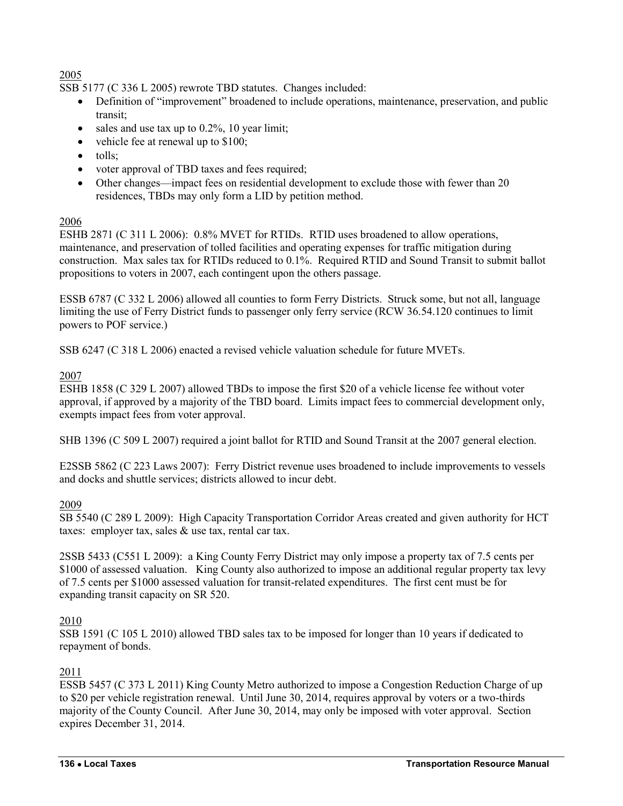# 2005

SSB 5177 (C 336 L 2005) rewrote TBD statutes. Changes included:

- Definition of "improvement" broadened to include operations, maintenance, preservation, and public transit;
- $\bullet$  sales and use tax up to 0.2%, 10 year limit;
- vehicle fee at renewal up to \$100;
- tolls;
- voter approval of TBD taxes and fees required;
- Other changes—impact fees on residential development to exclude those with fewer than 20 residences, TBDs may only form a LID by petition method.

# 2006

ESHB 2871 (C 311 L 2006): 0.8% MVET for RTIDs. RTID uses broadened to allow operations, maintenance, and preservation of tolled facilities and operating expenses for traffic mitigation during construction. Max sales tax for RTIDs reduced to 0.1%. Required RTID and Sound Transit to submit ballot propositions to voters in 2007, each contingent upon the others passage.

ESSB 6787 (C 332 L 2006) allowed all counties to form Ferry Districts. Struck some, but not all, language limiting the use of Ferry District funds to passenger only ferry service (RCW 36.54.120 continues to limit powers to POF service.)

SSB 6247 (C 318 L 2006) enacted a revised vehicle valuation schedule for future MVETs.

# 2007

ESHB 1858 (C 329 L 2007) allowed TBDs to impose the first \$20 of a vehicle license fee without voter approval, if approved by a majority of the TBD board. Limits impact fees to commercial development only, exempts impact fees from voter approval.

SHB 1396 (C 509 L 2007) required a joint ballot for RTID and Sound Transit at the 2007 general election.

E2SSB 5862 (C 223 Laws 2007): Ferry District revenue uses broadened to include improvements to vessels and docks and shuttle services; districts allowed to incur debt.

# 2009

SB 5540 (C 289 L 2009): High Capacity Transportation Corridor Areas created and given authority for HCT taxes: employer tax, sales & use tax, rental car tax.

2SSB 5433 (C551 L 2009): a King County Ferry District may only impose a property tax of 7.5 cents per \$1000 of assessed valuation. King County also authorized to impose an additional regular property tax levy of 7.5 cents per \$1000 assessed valuation for transit-related expenditures. The first cent must be for expanding transit capacity on SR 520.

# 2010

SSB 1591 (C 105 L 2010) allowed TBD sales tax to be imposed for longer than 10 years if dedicated to repayment of bonds.

# 2011

ESSB 5457 (C 373 L 2011) King County Metro authorized to impose a Congestion Reduction Charge of up to \$20 per vehicle registration renewal. Until June 30, 2014, requires approval by voters or a two-thirds majority of the County Council. After June 30, 2014, may only be imposed with voter approval. Section expires December 31, 2014.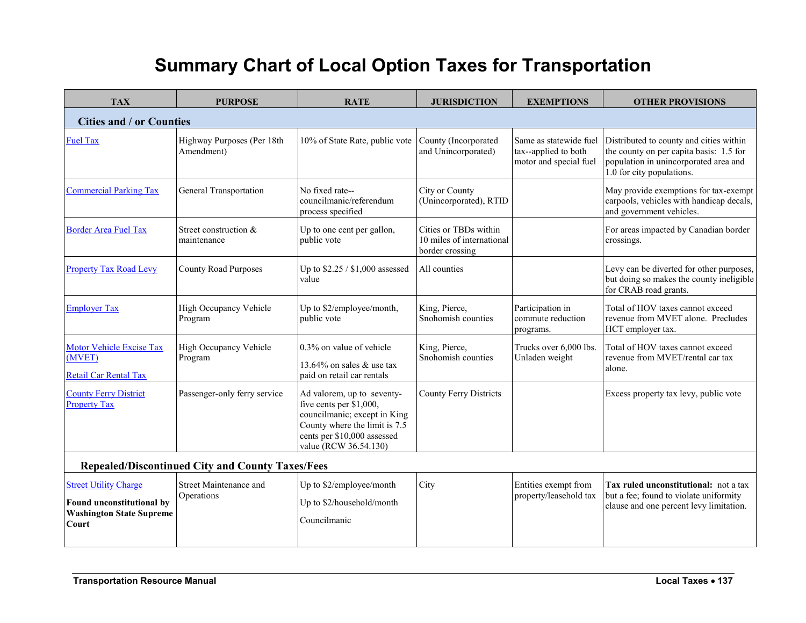# **Summary Chart of Local Option Taxes for Transportation**

<span id="page-24-0"></span>

| <b>TAX</b>                                                                                            | <b>PURPOSE</b>                           | <b>RATE</b>                                                                                                                                                                             | <b>JURISDICTION</b>                                                   | <b>EXEMPTIONS</b>                                                        | <b>OTHER PROVISIONS</b>                                                                                                                                  |
|-------------------------------------------------------------------------------------------------------|------------------------------------------|-----------------------------------------------------------------------------------------------------------------------------------------------------------------------------------------|-----------------------------------------------------------------------|--------------------------------------------------------------------------|----------------------------------------------------------------------------------------------------------------------------------------------------------|
| <b>Cities and / or Counties</b>                                                                       |                                          |                                                                                                                                                                                         |                                                                       |                                                                          |                                                                                                                                                          |
| <b>Fuel Tax</b>                                                                                       | Highway Purposes (Per 18th<br>Amendment) | 10% of State Rate, public vote                                                                                                                                                          | County (Incorporated<br>and Unincorporated)                           | Same as statewide fuel<br>tax--applied to both<br>motor and special fuel | Distributed to county and cities within<br>the county on per capita basis: 1.5 for<br>population in unincorporated area and<br>1.0 for city populations. |
| <b>Commercial Parking Tax</b>                                                                         | General Transportation                   | No fixed rate--<br>councilmanic/referendum<br>process specified                                                                                                                         | City or County<br>(Unincorporated), RTID                              |                                                                          | May provide exemptions for tax-exempt<br>carpools, vehicles with handicap decals,<br>and government vehicles.                                            |
| <b>Border Area Fuel Tax</b>                                                                           | Street construction $&$<br>maintenance   | Up to one cent per gallon,<br>public vote                                                                                                                                               | Cities or TBDs within<br>10 miles of international<br>border crossing |                                                                          | For areas impacted by Canadian border<br>crossings.                                                                                                      |
| <b>Property Tax Road Levy</b>                                                                         | <b>County Road Purposes</b>              | Up to \$2.25 / \$1,000 assessed<br>value                                                                                                                                                | All counties                                                          |                                                                          | Levy can be diverted for other purposes,<br>but doing so makes the county ineligible<br>for CRAB road grants.                                            |
| <b>Employer Tax</b>                                                                                   | High Occupancy Vehicle<br>Program        | Up to \$2/employee/month,<br>public vote                                                                                                                                                | King, Pierce,<br>Snohomish counties                                   | Participation in<br>commute reduction<br>programs.                       | Total of HOV taxes cannot exceed<br>revenue from MVET alone. Precludes<br>HCT employer tax.                                                              |
| <b>Motor Vehicle Excise Tax</b><br>(MVET)<br>Retail Car Rental Tax                                    | High Occupancy Vehicle<br>Program        | 0.3% on value of vehicle<br>13.64% on sales $&$ use tax<br>paid on retail car rentals                                                                                                   | King, Pierce,<br>Snohomish counties                                   | Trucks over 6,000 lbs.<br>Unladen weight                                 | Total of HOV taxes cannot exceed<br>revenue from MVET/rental car tax<br>alone.                                                                           |
| <b>County Ferry District</b><br><b>Property Tax</b>                                                   | Passenger-only ferry service             | Ad valorem, up to seventy-<br>five cents per $\bar{\$}1,000$ ,<br>councilmanic; except in King<br>County where the limit is 7.5<br>cents per \$10,000 assessed<br>value (RCW 36.54.130) | <b>County Ferry Districts</b>                                         |                                                                          | Excess property tax levy, public vote                                                                                                                    |
| <b>Repealed/Discontinued City and County Taxes/Fees</b>                                               |                                          |                                                                                                                                                                                         |                                                                       |                                                                          |                                                                                                                                                          |
| <b>Street Utility Charge</b><br>Found unconstitutional by<br><b>Washington State Supreme</b><br>Court | Street Maintenance and<br>Operations     | Up to \$2/employee/month<br>Up to \$2/household/month<br>Councilmanic                                                                                                                   | City                                                                  | Entities exempt from<br>property/leasehold tax                           | Tax ruled unconstitutional: not a tax<br>but a fee; found to violate uniformity<br>clause and one percent levy limitation.                               |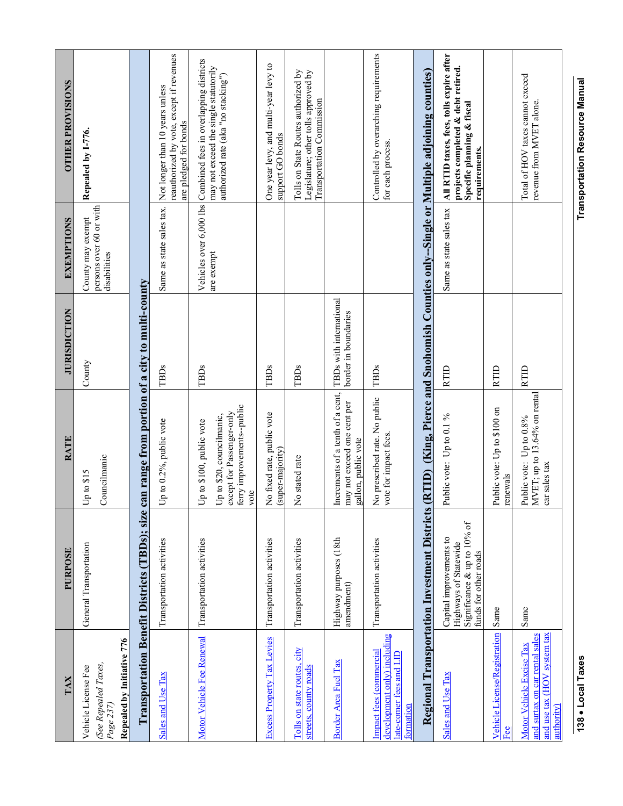| TAX                                                                                                     | PURPOSE                                                                                                  | <b>RATE</b>                                                                                                              | <b>JURISDICTION</b>                             | <b>EXEMPTIONS</b>                                            | <b>OTHER PROVISIONS</b>                                                                                                                        |
|---------------------------------------------------------------------------------------------------------|----------------------------------------------------------------------------------------------------------|--------------------------------------------------------------------------------------------------------------------------|-------------------------------------------------|--------------------------------------------------------------|------------------------------------------------------------------------------------------------------------------------------------------------|
| Repealed by Initiative 776<br>(See Repealed Taxes,<br>Vehicle License Fee<br>$Page$ 237)                | General Transportation                                                                                   | Councilmanic<br>Up to \$15                                                                                               | County                                          | persons over 60 or with<br>County may exempt<br>disabilities | Repealed by 1-776.                                                                                                                             |
|                                                                                                         | Transportation Benefit Districts (TBDs); size                                                            | can range from portion of a city to multi-county                                                                         |                                                 |                                                              |                                                                                                                                                |
| Sales and Use Tax                                                                                       | Transportation activities                                                                                | Up to 0.2%, public vote                                                                                                  | TBDs                                            | Same as state sales tax.                                     | reauthorized by vote, except if revenues<br>Not longer than 10 years unless<br>are pledged for bonds                                           |
| Motor Vehicle Fee Renewal                                                                               | Transportation activities                                                                                | ferry improvements--public<br>except for Passenger-only<br>Up to \$20, councilmanic,<br>Up to \$100, public vote<br>vote | TBDs                                            | are exempt                                                   | Vehicles over 6,000 lbs Combined fees in overlapping districts<br>may not exceed the single statutorily<br>authorized rate (aka "no stacking") |
| <b>Excess Property Tax Levies</b>                                                                       | Transportation activities                                                                                | No fixed rate, public vote<br>(super-majority)                                                                           | TBDs                                            |                                                              | One year levy, and multi-year levy to<br>support GO bonds                                                                                      |
| Tolls on state routes, city<br>streets, county roads                                                    | Transportation activities                                                                                | No stated rate                                                                                                           | TBDs                                            |                                                              | Tolls on State Routes authorized by<br>Legislature; other tolls approved by<br>Transportation Commission                                       |
| Border Area Fuel Tax                                                                                    | Highway purposes (18th<br>amendment)                                                                     | Increments of a tenth of a cent,<br>may not exceed one cent per<br>gallon, public vote                                   | TBDs with international<br>border in boundaries |                                                              |                                                                                                                                                |
| development only) including<br>Impact fees (commercial<br>late-comer fees and LID<br>formation          | Transportation activities                                                                                | No prescribed rate. No public<br>vote for impact fees.                                                                   | TBDs                                            |                                                              | Controlled by overarching requirements<br>for each process.                                                                                    |
|                                                                                                         | <b>Regional Transportation Investment Districts</b>                                                      |                                                                                                                          |                                                 |                                                              | (RTID) (King, Pierce and Snohomish Counties only-Single or Multiple adjoining counties)                                                        |
| Sales and Use Tax                                                                                       | Significance & up to 10% of<br>Capital improvements to<br>Highways of Statewide<br>funds for other roads | Public vote: Up to 0.1 %                                                                                                 | RTID                                            | Same as state sales tax                                      | All RTID taxes, fees, tolls expire after<br>projects completed & debt retired.<br>Specific planning & fiscal<br>requirements.                  |
| Vehicle License/Registration<br>Eee                                                                     | Same                                                                                                     | Public vote: Up to \$100 on<br>renewals                                                                                  | <b>RTID</b>                                     |                                                              |                                                                                                                                                |
| and use tax (HOV system tax<br>and surtax on car rental sales<br>Motor Vehicle Excise Tax<br>authority) | Same                                                                                                     | MVET; up to 13.64% on rental<br>Public vote: Up to 0.8%<br>car sales tax                                                 | <b>RTID</b>                                     |                                                              | Total of HOV taxes cannot exceed<br>revenue from MVET alone.                                                                                   |

138 . Local Taxes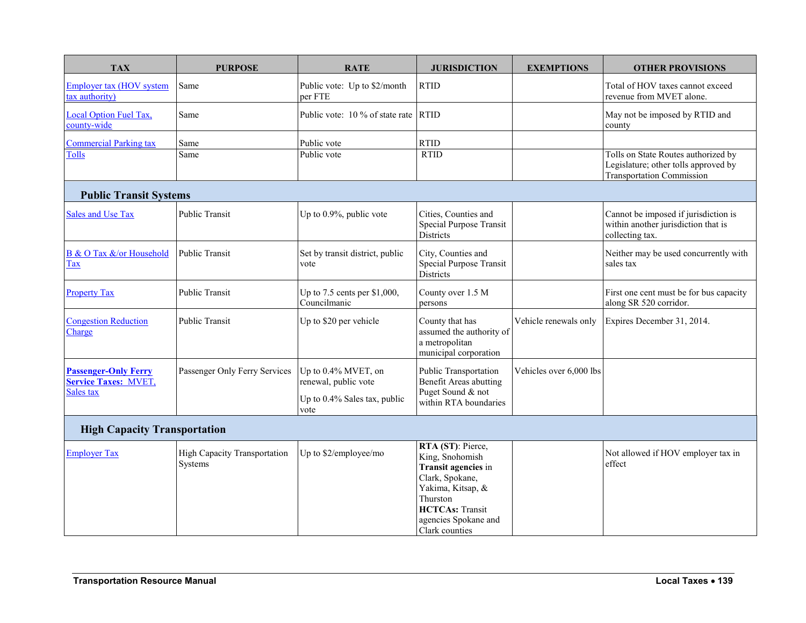| <b>TAX</b>                                                 | <b>PURPOSE</b>                                 | <b>RATE</b>                                  | <b>JURISDICTION</b>                                                                                                                                                                 | <b>EXEMPTIONS</b>       | <b>OTHER PROVISIONS</b>                                                                                         |
|------------------------------------------------------------|------------------------------------------------|----------------------------------------------|-------------------------------------------------------------------------------------------------------------------------------------------------------------------------------------|-------------------------|-----------------------------------------------------------------------------------------------------------------|
| <b>Employer tax (HOV system</b><br>tax authority)          | Same                                           | Public vote: Up to \$2/month<br>per FTE      | <b>RTID</b>                                                                                                                                                                         |                         | Total of HOV taxes cannot exceed<br>revenue from MVET alone.                                                    |
| <b>Local Option Fuel Tax,</b><br>county-wide               | Same                                           | Public vote: 10 % of state rate              | <b>RTID</b>                                                                                                                                                                         |                         | May not be imposed by RTID and<br>county                                                                        |
| <b>Commercial Parking tax</b>                              | Same                                           | Public vote                                  | <b>RTID</b>                                                                                                                                                                         |                         |                                                                                                                 |
| <b>Tolls</b>                                               | Same                                           | Public vote                                  | <b>RTID</b>                                                                                                                                                                         |                         | Tolls on State Routes authorized by<br>Legislature; other tolls approved by<br><b>Transportation Commission</b> |
| <b>Public Transit Systems</b>                              |                                                |                                              |                                                                                                                                                                                     |                         |                                                                                                                 |
| <b>Sales and Use Tax</b>                                   | Public Transit                                 | Up to 0.9%, public vote                      | Cities, Counties and<br>Special Purpose Transit<br>Districts                                                                                                                        |                         | Cannot be imposed if jurisdiction is<br>within another jurisdiction that is<br>collecting tax.                  |
| B & O Tax &/or Household<br>Tax                            | <b>Public Transit</b>                          | Set by transit district, public<br>vote      | City, Counties and<br><b>Special Purpose Transit</b><br>Districts                                                                                                                   |                         | Neither may be used concurrently with<br>sales tax                                                              |
| <b>Property Tax</b>                                        | Public Transit                                 | Up to 7.5 cents per \$1,000,<br>Councilmanic | County over 1.5 M<br>persons                                                                                                                                                        |                         | First one cent must be for bus capacity<br>along SR 520 corridor.                                               |
| <b>Congestion Reduction</b><br>Charge                      | <b>Public Transit</b>                          | Up to \$20 per vehicle                       | County that has<br>assumed the authority of<br>a metropolitan<br>municipal corporation                                                                                              | Vehicle renewals only   | Expires December 31, 2014.                                                                                      |
| <b>Passenger-Only Ferry</b><br><b>Service Taxes: MVET,</b> | Passenger Only Ferry Services                  | Up to 0.4% MVET, on<br>renewal, public vote  | <b>Public Transportation</b><br><b>Benefit Areas abutting</b>                                                                                                                       | Vehicles over 6,000 lbs |                                                                                                                 |
| Sales tax                                                  |                                                | Up to 0.4% Sales tax, public<br>vote         | Puget Sound & not<br>within RTA boundaries                                                                                                                                          |                         |                                                                                                                 |
| <b>High Capacity Transportation</b>                        |                                                |                                              |                                                                                                                                                                                     |                         |                                                                                                                 |
| <b>Employer Tax</b>                                        | <b>High Capacity Transportation</b><br>Systems | Up to \$2/employee/mo                        | RTA (ST): Pierce,<br>King, Snohomish<br>Transit agencies in<br>Clark, Spokane,<br>Yakima, Kitsap, &<br>Thurston<br><b>HCTCAs: Transit</b><br>agencies Spokane and<br>Clark counties |                         | Not allowed if HOV employer tax in<br>effect                                                                    |